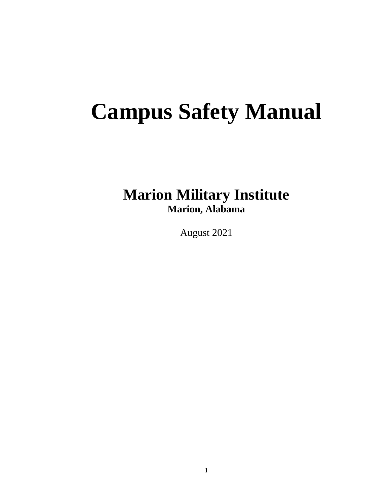# **Campus Safety Manual**

## **Marion Military Institute Marion, Alabama**

August 2021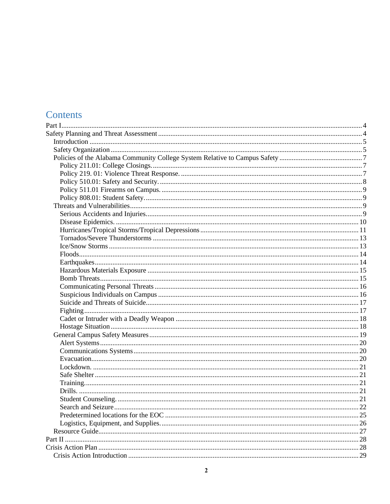## Contents

| Search and Seizure | 22 |
|--------------------|----|
|                    |    |
|                    |    |
|                    |    |
|                    |    |
|                    |    |
|                    |    |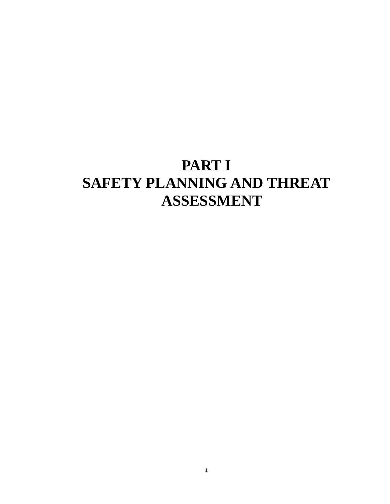# <span id="page-3-1"></span><span id="page-3-0"></span>**PART I SAFETY PLANNING AND THREAT ASSESSMENT**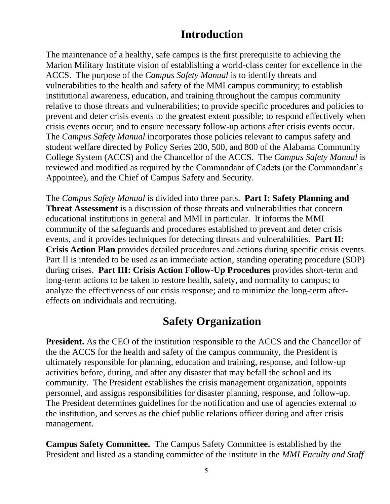## **Introduction**

<span id="page-4-0"></span>The maintenance of a healthy, safe campus is the first prerequisite to achieving the Marion Military Institute vision of establishing a world-class center for excellence in the ACCS. The purpose of the *Campus Safety Manual* is to identify threats and vulnerabilities to the health and safety of the MMI campus community; to establish institutional awareness, education, and training throughout the campus community relative to those threats and vulnerabilities; to provide specific procedures and policies to prevent and deter crisis events to the greatest extent possible; to respond effectively when crisis events occur; and to ensure necessary follow-up actions after crisis events occur. The *Campus Safety Manual* incorporates those policies relevant to campus safety and student welfare directed by Policy Series 200, 500, and 800 of the Alabama Community College System (ACCS) and the Chancellor of the ACCS. The *Campus Safety Manual* is reviewed and modified as required by the Commandant of Cadets (or the Commandant's Appointee), and the Chief of Campus Safety and Security.

The *Campus Safety Manual* is divided into three parts. **Part I: Safety Planning and Threat Assessment** is a discussion of those threats and vulnerabilities that concern educational institutions in general and MMI in particular. It informs the MMI community of the safeguards and procedures established to prevent and deter crisis events, and it provides techniques for detecting threats and vulnerabilities. **Part II: Crisis Action Plan** provides detailed procedures and actions during specific crisis events. Part II is intended to be used as an immediate action, standing operating procedure (SOP) during crises. **Part III: Crisis Action Follow-Up Procedures** provides short-term and long-term actions to be taken to restore health, safety, and normality to campus; to analyze the effectiveness of our crisis response; and to minimize the long-term aftereffects on individuals and recruiting.

## **Safety Organization**

<span id="page-4-1"></span>**President.** As the CEO of the institution responsible to the ACCS and the Chancellor of the the ACCS for the health and safety of the campus community, the President is ultimately responsible for planning, education and training, response, and follow-up activities before, during, and after any disaster that may befall the school and its community. The President establishes the crisis management organization, appoints personnel, and assigns responsibilities for disaster planning, response, and follow-up. The President determines guidelines for the notification and use of agencies external to the institution, and serves as the chief public relations officer during and after crisis management.

**Campus Safety Committee.** The Campus Safety Committee is established by the President and listed as a standing committee of the institute in the *MMI Faculty and Staff*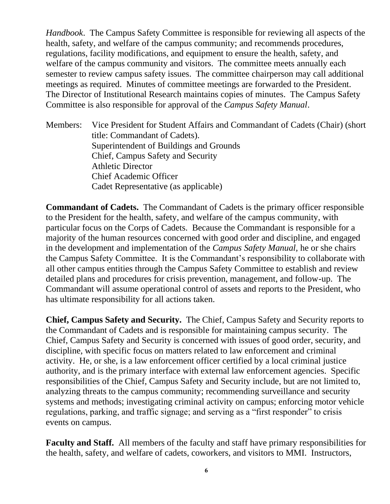*Handbook*. The Campus Safety Committee is responsible for reviewing all aspects of the health, safety, and welfare of the campus community; and recommends procedures, regulations, facility modifications, and equipment to ensure the health, safety, and welfare of the campus community and visitors. The committee meets annually each semester to review campus safety issues. The committee chairperson may call additional meetings as required. Minutes of committee meetings are forwarded to the President. The Director of Institutional Research maintains copies of minutes. The Campus Safety Committee is also responsible for approval of the *Campus Safety Manual*.

Members: Vice President for Student Affairs and Commandant of Cadets (Chair) (short title: Commandant of Cadets). Superintendent of Buildings and Grounds Chief, Campus Safety and Security Athletic Director Chief Academic Officer Cadet Representative (as applicable)

**Commandant of Cadets.** The Commandant of Cadets is the primary officer responsible to the President for the health, safety, and welfare of the campus community, with particular focus on the Corps of Cadets. Because the Commandant is responsible for a majority of the human resources concerned with good order and discipline, and engaged in the development and implementation of the *Campus Safety Manual,* he or she chairs the Campus Safety Committee. It is the Commandant's responsibility to collaborate with all other campus entities through the Campus Safety Committee to establish and review detailed plans and procedures for crisis prevention, management, and follow-up. The Commandant will assume operational control of assets and reports to the President, who has ultimate responsibility for all actions taken.

**Chief, Campus Safety and Security.** The Chief, Campus Safety and Security reports to the Commandant of Cadets and is responsible for maintaining campus security. The Chief, Campus Safety and Security is concerned with issues of good order, security, and discipline, with specific focus on matters related to law enforcement and criminal activity. He, or she, is a law enforcement officer certified by a local criminal justice authority, and is the primary interface with external law enforcement agencies. Specific responsibilities of the Chief, Campus Safety and Security include, but are not limited to, analyzing threats to the campus community; recommending surveillance and security systems and methods; investigating criminal activity on campus; enforcing motor vehicle regulations, parking, and traffic signage; and serving as a "first responder" to crisis events on campus.

**Faculty and Staff.** All members of the faculty and staff have primary responsibilities for the health, safety, and welfare of cadets, coworkers, and visitors to MMI. Instructors,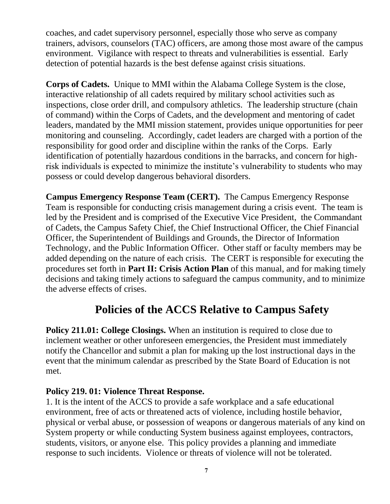coaches, and cadet supervisory personnel, especially those who serve as company trainers, advisors, counselors (TAC) officers, are among those most aware of the campus environment. Vigilance with respect to threats and vulnerabilities is essential. Early detection of potential hazards is the best defense against crisis situations.

**Corps of Cadets.** Unique to MMI within the Alabama College System is the close, interactive relationship of all cadets required by military school activities such as inspections, close order drill, and compulsory athletics. The leadership structure (chain of command) within the Corps of Cadets, and the development and mentoring of cadet leaders, mandated by the MMI mission statement, provides unique opportunities for peer monitoring and counseling. Accordingly, cadet leaders are charged with a portion of the responsibility for good order and discipline within the ranks of the Corps. Early identification of potentially hazardous conditions in the barracks, and concern for highrisk individuals is expected to minimize the institute's vulnerability to students who may possess or could develop dangerous behavioral disorders.

**Campus Emergency Response Team (CERT).** The Campus Emergency Response Team is responsible for conducting crisis management during a crisis event. The team is led by the President and is comprised of the Executive Vice President, the Commandant of Cadets, the Campus Safety Chief, the Chief Instructional Officer, the Chief Financial Officer, the Superintendent of Buildings and Grounds, the Director of Information Technology, and the Public Information Officer. Other staff or faculty members may be added depending on the nature of each crisis. The CERT is responsible for executing the procedures set forth in **Part II: Crisis Action Plan** of this manual, and for making timely decisions and taking timely actions to safeguard the campus community, and to minimize the adverse effects of crises.

## **Policies of the ACCS Relative to Campus Safety**

<span id="page-6-1"></span><span id="page-6-0"></span>**Policy 211.01: College Closings.** When an institution is required to close due to inclement weather or other unforeseen emergencies, the President must immediately notify the Chancellor and submit a plan for making up the lost instructional days in the event that the minimum calendar as prescribed by the State Board of Education is not met.

### <span id="page-6-2"></span>**Policy 219. 01: Violence Threat Response.**

1. It is the intent of the ACCS to provide a safe workplace and a safe educational environment, free of acts or threatened acts of violence, including hostile behavior, physical or verbal abuse, or possession of weapons or dangerous materials of any kind on System property or while conducting System business against employees, contractors, students, visitors, or anyone else. This policy provides a planning and immediate response to such incidents. Violence or threats of violence will not be tolerated.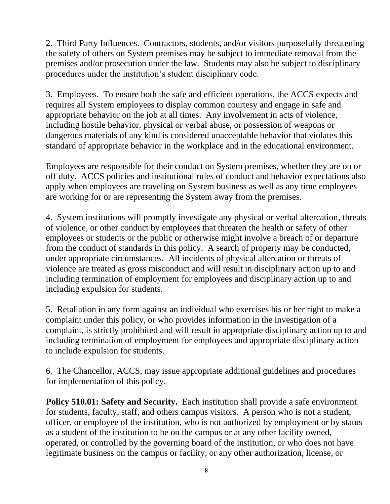2. Third Party Influences. Contractors, students, and/or visitors purposefully threatening the safety of others on System premises may be subject to immediate removal from the premises and/or prosecution under the law. Students may also be subject to disciplinary procedures under the institution's student disciplinary code.

3. Employees. To ensure both the safe and efficient operations, the ACCS expects and requires all System employees to display common courtesy and engage in safe and appropriate behavior on the job at all times. Any involvement in acts of violence, including hostile behavior, physical or verbal abuse, or possession of weapons or dangerous materials of any kind is considered unacceptable behavior that violates this standard of appropriate behavior in the workplace and in the educational environment.

Employees are responsible for their conduct on System premises, whether they are on or off duty. ACCS policies and institutional rules of conduct and behavior expectations also apply when employees are traveling on System business as well as any time employees are working for or are representing the System away from the premises.

4. System institutions will promptly investigate any physical or verbal altercation, threats of violence, or other conduct by employees that threaten the health or safety of other employees or students or the public or otherwise might involve a breach of or departure from the conduct of standards in this policy. A search of property may be conducted, under appropriate circumstances. All incidents of physical altercation or threats of violence are treated as gross misconduct and will result in disciplinary action up to and including termination of employment for employees and disciplinary action up to and including expulsion for students.

5. Retaliation in any form against an individual who exercises his or her right to make a complaint under this policy, or who provides information in the investigation of a complaint, is strictly prohibited and will result in appropriate disciplinary action up to and including termination of employment for employees and appropriate disciplinary action to include expulsion for students.

6. The Chancellor, ACCS, may issue appropriate additional guidelines and procedures for implementation of this policy.

<span id="page-7-0"></span>**Policy 510.01: Safety and Security.** Each institution shall provide a safe environment for students, faculty, staff, and others campus visitors. A person who is not a student, officer, or employee of the institution, who is not authorized by employment or by status as a student of the institution to be on the campus or at any other facility owned, operated, or controlled by the governing board of the institution, or who does not have legitimate business on the campus or facility, or any other authorization, license, or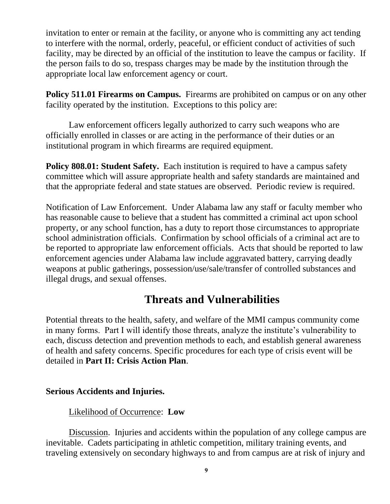invitation to enter or remain at the facility, or anyone who is committing any act tending to interfere with the normal, orderly, peaceful, or efficient conduct of activities of such facility, may be directed by an official of the institution to leave the campus or facility. If the person fails to do so, trespass charges may be made by the institution through the appropriate local law enforcement agency or court.

<span id="page-8-0"></span>**Policy 511.01 Firearms on Campus.** Firearms are prohibited on campus or on any other facility operated by the institution. Exceptions to this policy are:

Law enforcement officers legally authorized to carry such weapons who are officially enrolled in classes or are acting in the performance of their duties or an institutional program in which firearms are required equipment.

<span id="page-8-1"></span>**Policy 808.01: Student Safety.** Each institution is required to have a campus safety committee which will assure appropriate health and safety standards are maintained and that the appropriate federal and state statues are observed. Periodic review is required.

Notification of Law Enforcement.Under Alabama law any staff or faculty member who has reasonable cause to believe that a student has committed a criminal act upon school property, or any school function, has a duty to report those circumstances to appropriate school administration officials. Confirmation by school officials of a criminal act are to be reported to appropriate law enforcement officials. Acts that should be reported to law enforcement agencies under Alabama law include aggravated battery, carrying deadly weapons at public gatherings, possession/use/sale/transfer of controlled substances and illegal drugs, and sexual offenses.

## **Threats and Vulnerabilities**

<span id="page-8-2"></span>Potential threats to the health, safety, and welfare of the MMI campus community come in many forms. Part I will identify those threats, analyze the institute's vulnerability to each, discuss detection and prevention methods to each, and establish general awareness of health and safety concerns. Specific procedures for each type of crisis event will be detailed in **Part II: Crisis Action Plan**.

### <span id="page-8-3"></span>**Serious Accidents and Injuries.**

## Likelihood of Occurrence: **Low**

Discussion. Injuries and accidents within the population of any college campus are inevitable. Cadets participating in athletic competition, military training events, and traveling extensively on secondary highways to and from campus are at risk of injury and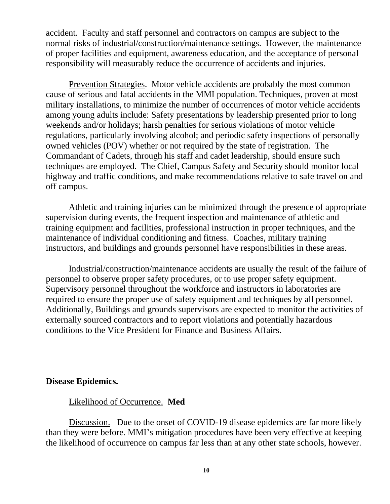accident. Faculty and staff personnel and contractors on campus are subject to the normal risks of industrial/construction/maintenance settings. However, the maintenance of proper facilities and equipment, awareness education, and the acceptance of personal responsibility will measurably reduce the occurrence of accidents and injuries.

Prevention Strategies. Motor vehicle accidents are probably the most common cause of serious and fatal accidents in the MMI population. Techniques, proven at most military installations, to minimize the number of occurrences of motor vehicle accidents among young adults include: Safety presentations by leadership presented prior to long weekends and/or holidays; harsh penalties for serious violations of motor vehicle regulations, particularly involving alcohol; and periodic safety inspections of personally owned vehicles (POV) whether or not required by the state of registration. The Commandant of Cadets, through his staff and cadet leadership, should ensure such techniques are employed. The Chief, Campus Safety and Security should monitor local highway and traffic conditions, and make recommendations relative to safe travel on and off campus.

Athletic and training injuries can be minimized through the presence of appropriate supervision during events, the frequent inspection and maintenance of athletic and training equipment and facilities, professional instruction in proper techniques, and the maintenance of individual conditioning and fitness. Coaches, military training instructors, and buildings and grounds personnel have responsibilities in these areas.

Industrial/construction/maintenance accidents are usually the result of the failure of personnel to observe proper safety procedures, or to use proper safety equipment. Supervisory personnel throughout the workforce and instructors in laboratories are required to ensure the proper use of safety equipment and techniques by all personnel. Additionally, Buildings and grounds supervisors are expected to monitor the activities of externally sourced contractors and to report violations and potentially hazardous conditions to the Vice President for Finance and Business Affairs.

### <span id="page-9-0"></span>**Disease Epidemics.**

### Likelihood of Occurrence. **Med**

Discussion. Due to the onset of COVID-19 disease epidemics are far more likely than they were before. MMI's mitigation procedures have been very effective at keeping the likelihood of occurrence on campus far less than at any other state schools, however.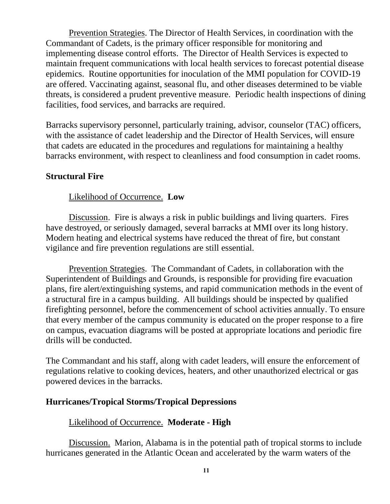Prevention Strategies. The Director of Health Services, in coordination with the Commandant of Cadets, is the primary officer responsible for monitoring and implementing disease control efforts. The Director of Health Services is expected to maintain frequent communications with local health services to forecast potential disease epidemics. Routine opportunities for inoculation of the MMI population for COVID-19 are offered. Vaccinating against, seasonal flu, and other diseases determined to be viable threats, is considered a prudent preventive measure. Periodic health inspections of dining facilities, food services, and barracks are required.

Barracks supervisory personnel, particularly training, advisor, counselor (TAC) officers, with the assistance of cadet leadership and the Director of Health Services, will ensure that cadets are educated in the procedures and regulations for maintaining a healthy barracks environment, with respect to cleanliness and food consumption in cadet rooms.

### **Structural Fire**

## Likelihood of Occurrence. **Low**

Discussion. Fire is always a risk in public buildings and living quarters. Fires have destroyed, or seriously damaged, several barracks at MMI over its long history. Modern heating and electrical systems have reduced the threat of fire, but constant vigilance and fire prevention regulations are still essential.

Prevention Strategies. The Commandant of Cadets, in collaboration with the Superintendent of Buildings and Grounds, is responsible for providing fire evacuation plans, fire alert/extinguishing systems, and rapid communication methods in the event of a structural fire in a campus building. All buildings should be inspected by qualified firefighting personnel, before the commencement of school activities annually. To ensure that every member of the campus community is educated on the proper response to a fire on campus, evacuation diagrams will be posted at appropriate locations and periodic fire drills will be conducted.

The Commandant and his staff, along with cadet leaders, will ensure the enforcement of regulations relative to cooking devices, heaters, and other unauthorized electrical or gas powered devices in the barracks.

### <span id="page-10-0"></span>**Hurricanes/Tropical Storms/Tropical Depressions**

### Likelihood of Occurrence. **Moderate - High**

Discussion. Marion, Alabama is in the potential path of tropical storms to include hurricanes generated in the Atlantic Ocean and accelerated by the warm waters of the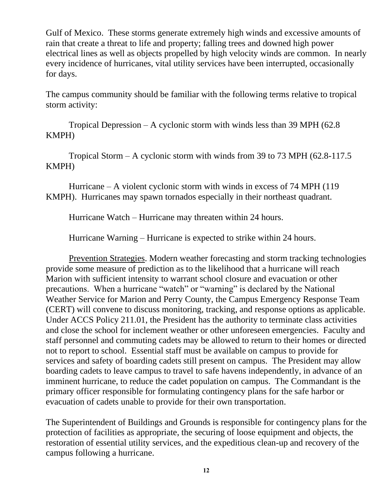Gulf of Mexico. These storms generate extremely high winds and excessive amounts of rain that create a threat to life and property; falling trees and downed high power electrical lines as well as objects propelled by high velocity winds are common. In nearly every incidence of hurricanes, vital utility services have been interrupted, occasionally for days.

The campus community should be familiar with the following terms relative to tropical storm activity:

Tropical Depression – A cyclonic storm with winds less than 39 MPH (62.8 KMPH)

Tropical Storm – A cyclonic storm with winds from 39 to 73 MPH (62.8-117.5 KMPH)

Hurricane – A violent cyclonic storm with winds in excess of 74 MPH (119 KMPH). Hurricanes may spawn tornados especially in their northeast quadrant.

Hurricane Watch – Hurricane may threaten within 24 hours.

Hurricane Warning – Hurricane is expected to strike within 24 hours.

Prevention Strategies. Modern weather forecasting and storm tracking technologies provide some measure of prediction as to the likelihood that a hurricane will reach Marion with sufficient intensity to warrant school closure and evacuation or other precautions. When a hurricane "watch" or "warning" is declared by the National Weather Service for Marion and Perry County, the Campus Emergency Response Team (CERT) will convene to discuss monitoring, tracking, and response options as applicable. Under ACCS Policy 211.01, the President has the authority to terminate class activities and close the school for inclement weather or other unforeseen emergencies. Faculty and staff personnel and commuting cadets may be allowed to return to their homes or directed not to report to school. Essential staff must be available on campus to provide for services and safety of boarding cadets still present on campus. The President may allow boarding cadets to leave campus to travel to safe havens independently, in advance of an imminent hurricane, to reduce the cadet population on campus. The Commandant is the primary officer responsible for formulating contingency plans for the safe harbor or evacuation of cadets unable to provide for their own transportation.

The Superintendent of Buildings and Grounds is responsible for contingency plans for the protection of facilities as appropriate, the securing of loose equipment and objects, the restoration of essential utility services, and the expeditious clean-up and recovery of the campus following a hurricane.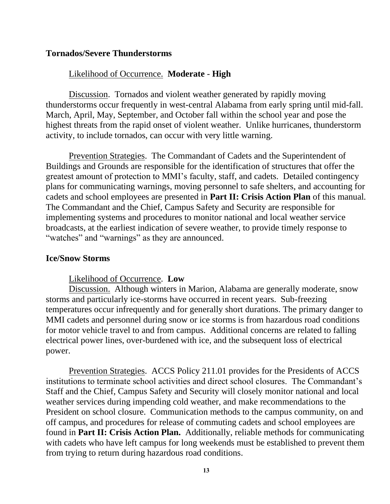#### <span id="page-12-0"></span>**Tornados/Severe Thunderstorms**

### Likelihood of Occurrence. **Moderate** - **High**

Discussion. Tornados and violent weather generated by rapidly moving thunderstorms occur frequently in west-central Alabama from early spring until mid-fall. March, April, May, September, and October fall within the school year and pose the highest threats from the rapid onset of violent weather. Unlike hurricanes, thunderstorm activity, to include tornados, can occur with very little warning.

Prevention Strategies. The Commandant of Cadets and the Superintendent of Buildings and Grounds are responsible for the identification of structures that offer the greatest amount of protection to MMI's faculty, staff, and cadets. Detailed contingency plans for communicating warnings, moving personnel to safe shelters, and accounting for cadets and school employees are presented in **Part II: Crisis Action Plan** of this manual*.*  The Commandant and the Chief, Campus Safety and Security are responsible for implementing systems and procedures to monitor national and local weather service broadcasts, at the earliest indication of severe weather, to provide timely response to "watches" and "warnings" as they are announced.

#### <span id="page-12-1"></span>**Ice/Snow Storms**

#### Likelihood of Occurrence. **Low**

Discussion. Although winters in Marion, Alabama are generally moderate, snow storms and particularly ice-storms have occurred in recent years. Sub-freezing temperatures occur infrequently and for generally short durations. The primary danger to MMI cadets and personnel during snow or ice storms is from hazardous road conditions for motor vehicle travel to and from campus. Additional concerns are related to falling electrical power lines, over-burdened with ice, and the subsequent loss of electrical power.

Prevention Strategies. ACCS Policy 211.01 provides for the Presidents of ACCS institutions to terminate school activities and direct school closures. The Commandant's Staff and the Chief, Campus Safety and Security will closely monitor national and local weather services during impending cold weather, and make recommendations to the President on school closure. Communication methods to the campus community, on and off campus, and procedures for release of commuting cadets and school employees are found in **Part II: Crisis Action Plan.** Additionally, reliable methods for communicating with cadets who have left campus for long weekends must be established to prevent them from trying to return during hazardous road conditions.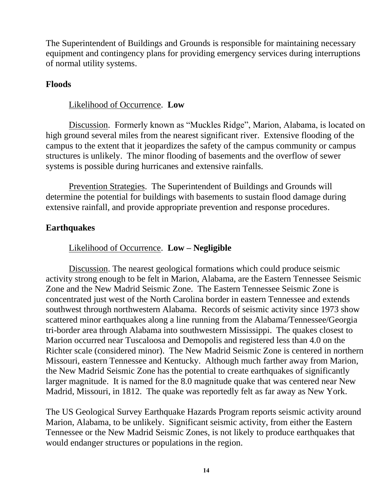The Superintendent of Buildings and Grounds is responsible for maintaining necessary equipment and contingency plans for providing emergency services during interruptions of normal utility systems.

### <span id="page-13-0"></span>**Floods**

### Likelihood of Occurrence. **Low**

Discussion. Formerly known as "Muckles Ridge", Marion, Alabama, is located on high ground several miles from the nearest significant river. Extensive flooding of the campus to the extent that it jeopardizes the safety of the campus community or campus structures is unlikely. The minor flooding of basements and the overflow of sewer systems is possible during hurricanes and extensive rainfalls.

Prevention Strategies. The Superintendent of Buildings and Grounds will determine the potential for buildings with basements to sustain flood damage during extensive rainfall, and provide appropriate prevention and response procedures.

## <span id="page-13-1"></span>**Earthquakes**

### Likelihood of Occurrence. **Low – Negligible**

Discussion. The nearest geological formations which could produce seismic activity strong enough to be felt in Marion, Alabama, are the Eastern Tennessee Seismic Zone and the New Madrid Seismic Zone. The Eastern Tennessee Seismic Zone is concentrated just west of the North Carolina border in eastern Tennessee and extends southwest through northwestern Alabama. Records of seismic activity since 1973 show scattered minor earthquakes along a line running from the Alabama/Tennessee/Georgia tri-border area through Alabama into southwestern Mississippi. The quakes closest to Marion occurred near Tuscaloosa and Demopolis and registered less than 4.0 on the Richter scale (considered minor). The New Madrid Seismic Zone is centered in northern Missouri, eastern Tennessee and Kentucky. Although much farther away from Marion, the New Madrid Seismic Zone has the potential to create earthquakes of significantly larger magnitude. It is named for the 8.0 magnitude quake that was centered near New Madrid, Missouri, in 1812. The quake was reportedly felt as far away as New York.

The US Geological Survey Earthquake Hazards Program reports seismic activity around Marion, Alabama, to be unlikely. Significant seismic activity, from either the Eastern Tennessee or the New Madrid Seismic Zones, is not likely to produce earthquakes that would endanger structures or populations in the region.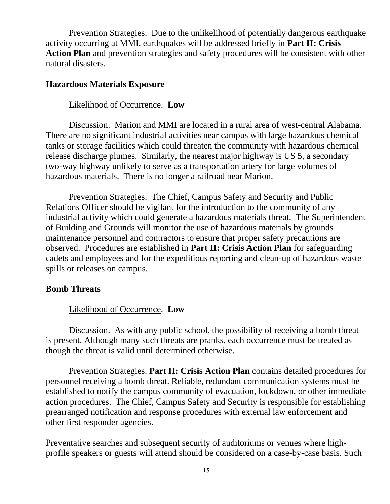Prevention Strategies. Due to the unlikelihood of potentially dangerous earthquake activity occurring at MMI, earthquakes will be addressed briefly in **Part II: Crisis Action Plan** and prevention strategies and safety procedures will be consistent with other natural disasters.

#### <span id="page-14-0"></span>**Hazardous Materials Exposure**

#### Likelihood of Occurrence. **Low**

Discussion. Marion and MMI are located in a rural area of west-central Alabama. There are no significant industrial activities near campus with large hazardous chemical tanks or storage facilities which could threaten the community with hazardous chemical release discharge plumes. Similarly, the nearest major highway is US 5, a secondary two-way highway unlikely to serve as a transportation artery for large volumes of hazardous materials. There is no longer a railroad near Marion.

Prevention Strategies. The Chief, Campus Safety and Security and Public Relations Officer should be vigilant for the introduction to the community of any industrial activity which could generate a hazardous materials threat. The Superintendent of Building and Grounds will monitor the use of hazardous materials by grounds maintenance personnel and contractors to ensure that proper safety precautions are observed. Procedures are established in **Part II: Crisis Action Plan** for safeguarding cadets and employees and for the expeditious reporting and clean-up of hazardous waste spills or releases on campus.

#### <span id="page-14-1"></span>**Bomb Threats**

### Likelihood of Occurrence. **Low**

Discussion. As with any public school, the possibility of receiving a bomb threat is present. Although many such threats are pranks, each occurrence must be treated as though the threat is valid until determined otherwise.

Prevention Strategies. **Part II: Crisis Action Plan** contains detailed procedures for personnel receiving a bomb threat. Reliable, redundant communication systems must be established to notify the campus community of evacuation, lockdown, or other immediate action procedures. The Chief, Campus Safety and Security is responsible for establishing prearranged notification and response procedures with external law enforcement and other first responder agencies.

Preventative searches and subsequent security of auditoriums or venues where highprofile speakers or guests will attend should be considered on a case-by-case basis. Such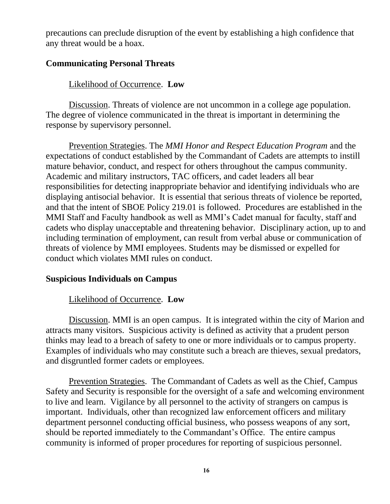precautions can preclude disruption of the event by establishing a high confidence that any threat would be a hoax.

### <span id="page-15-0"></span>**Communicating Personal Threats**

### Likelihood of Occurrence. **Low**

Discussion. Threats of violence are not uncommon in a college age population. The degree of violence communicated in the threat is important in determining the response by supervisory personnel.

Prevention Strategies. The *MMI Honor and Respect Education Program* and the expectations of conduct established by the Commandant of Cadets are attempts to instill mature behavior, conduct, and respect for others throughout the campus community. Academic and military instructors, TAC officers, and cadet leaders all bear responsibilities for detecting inappropriate behavior and identifying individuals who are displaying antisocial behavior. It is essential that serious threats of violence be reported, and that the intent of SBOE Policy 219.01 is followed. Procedures are established in the MMI Staff and Faculty handbook as well as MMI's Cadet manual for faculty, staff and cadets who display unacceptable and threatening behavior. Disciplinary action, up to and including termination of employment, can result from verbal abuse or communication of threats of violence by MMI employees. Students may be dismissed or expelled for conduct which violates MMI rules on conduct.

### <span id="page-15-1"></span>**Suspicious Individuals on Campus**

### Likelihood of Occurrence. **Low**

Discussion. MMI is an open campus. It is integrated within the city of Marion and attracts many visitors. Suspicious activity is defined as activity that a prudent person thinks may lead to a breach of safety to one or more individuals or to campus property. Examples of individuals who may constitute such a breach are thieves, sexual predators, and disgruntled former cadets or employees.

Prevention Strategies. The Commandant of Cadets as well as the Chief, Campus Safety and Security is responsible for the oversight of a safe and welcoming environment to live and learn. Vigilance by all personnel to the activity of strangers on campus is important. Individuals, other than recognized law enforcement officers and military department personnel conducting official business, who possess weapons of any sort, should be reported immediately to the Commandant's Office. The entire campus community is informed of proper procedures for reporting of suspicious personnel.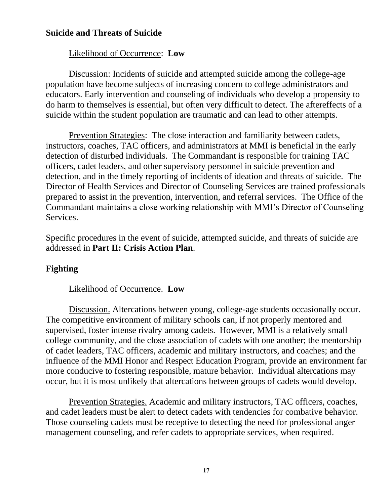## <span id="page-16-0"></span>**Suicide and Threats of Suicide**

### Likelihood of Occurrence: **Low**

Discussion: Incidents of suicide and attempted suicide among the college-age population have become subjects of increasing concern to college administrators and educators. Early intervention and counseling of individuals who develop a propensity to do harm to themselves is essential, but often very difficult to detect. The aftereffects of a suicide within the student population are traumatic and can lead to other attempts.

Prevention Strategies: The close interaction and familiarity between cadets, instructors, coaches, TAC officers, and administrators at MMI is beneficial in the early detection of disturbed individuals. The Commandant is responsible for training TAC officers, cadet leaders, and other supervisory personnel in suicide prevention and detection, and in the timely reporting of incidents of ideation and threats of suicide. The Director of Health Services and Director of Counseling Services are trained professionals prepared to assist in the prevention, intervention, and referral services. The Office of the Commandant maintains a close working relationship with MMI's Director of Counseling Services.

Specific procedures in the event of suicide, attempted suicide, and threats of suicide are addressed in **Part II: Crisis Action Plan**.

## <span id="page-16-1"></span>**Fighting**

### Likelihood of Occurrence. **Low**

Discussion. Altercations between young, college-age students occasionally occur. The competitive environment of military schools can, if not properly mentored and supervised, foster intense rivalry among cadets. However, MMI is a relatively small college community, and the close association of cadets with one another; the mentorship of cadet leaders, TAC officers, academic and military instructors, and coaches; and the influence of the MMI Honor and Respect Education Program, provide an environment far more conducive to fostering responsible, mature behavior. Individual altercations may occur, but it is most unlikely that altercations between groups of cadets would develop.

Prevention Strategies. Academic and military instructors, TAC officers, coaches, and cadet leaders must be alert to detect cadets with tendencies for combative behavior. Those counseling cadets must be receptive to detecting the need for professional anger management counseling, and refer cadets to appropriate services, when required.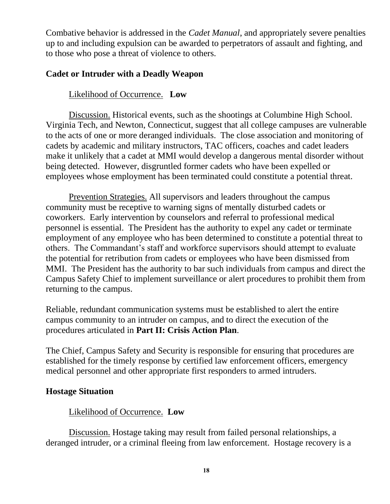Combative behavior is addressed in the *Cadet Manual*, and appropriately severe penalties up to and including expulsion can be awarded to perpetrators of assault and fighting, and to those who pose a threat of violence to others.

## <span id="page-17-0"></span>**Cadet or Intruder with a Deadly Weapon**

## Likelihood of Occurrence. **Low**

Discussion. Historical events, such as the shootings at Columbine High School. Virginia Tech, and Newton, Connecticut, suggest that all college campuses are vulnerable to the acts of one or more deranged individuals. The close association and monitoring of cadets by academic and military instructors, TAC officers, coaches and cadet leaders make it unlikely that a cadet at MMI would develop a dangerous mental disorder without being detected. However, disgruntled former cadets who have been expelled or employees whose employment has been terminated could constitute a potential threat.

Prevention Strategies. All supervisors and leaders throughout the campus community must be receptive to warning signs of mentally disturbed cadets or coworkers. Early intervention by counselors and referral to professional medical personnel is essential. The President has the authority to expel any cadet or terminate employment of any employee who has been determined to constitute a potential threat to others. The Commandant's staff and workforce supervisors should attempt to evaluate the potential for retribution from cadets or employees who have been dismissed from MMI. The President has the authority to bar such individuals from campus and direct the Campus Safety Chief to implement surveillance or alert procedures to prohibit them from returning to the campus.

Reliable, redundant communication systems must be established to alert the entire campus community to an intruder on campus, and to direct the execution of the procedures articulated in **Part II: Crisis Action Plan**.

The Chief, Campus Safety and Security is responsible for ensuring that procedures are established for the timely response by certified law enforcement officers, emergency medical personnel and other appropriate first responders to armed intruders.

### <span id="page-17-1"></span>**Hostage Situation**

### Likelihood of Occurrence. **Low**

Discussion. Hostage taking may result from failed personal relationships, a deranged intruder, or a criminal fleeing from law enforcement. Hostage recovery is a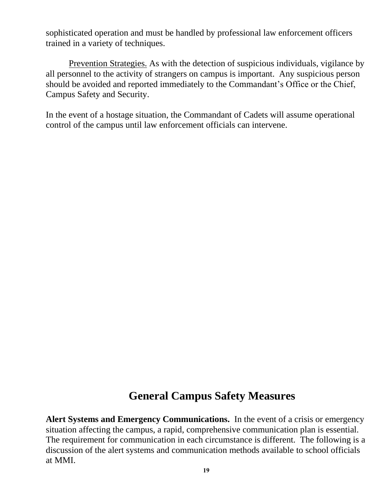sophisticated operation and must be handled by professional law enforcement officers trained in a variety of techniques.

Prevention Strategies. As with the detection of suspicious individuals, vigilance by all personnel to the activity of strangers on campus is important. Any suspicious person should be avoided and reported immediately to the Commandant's Office or the Chief, Campus Safety and Security.

In the event of a hostage situation, the Commandant of Cadets will assume operational control of the campus until law enforcement officials can intervene.

## **General Campus Safety Measures**

<span id="page-18-0"></span>**Alert Systems and Emergency Communications.** In the event of a crisis or emergency situation affecting the campus, a rapid, comprehensive communication plan is essential. The requirement for communication in each circumstance is different. The following is a discussion of the alert systems and communication methods available to school officials at MMI.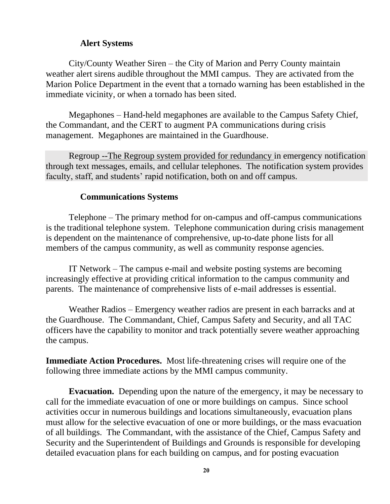### <span id="page-19-0"></span>**Alert Systems**

City/County Weather Siren – the City of Marion and Perry County maintain weather alert sirens audible throughout the MMI campus. They are activated from the Marion Police Department in the event that a tornado warning has been established in the immediate vicinity, or when a tornado has been sited.

Megaphones – Hand-held megaphones are available to the Campus Safety Chief, the Commandant, and the CERT to augment PA communications during crisis management. Megaphones are maintained in the Guardhouse.

Regroup --The Regroup system provided for redundancy in emergency notification through text messages, emails, and cellular telephones. The notification system provides faculty, staff, and students' rapid notification, both on and off campus.

### <span id="page-19-1"></span>**Communications Systems**

Telephone – The primary method for on-campus and off-campus communications is the traditional telephone system. Telephone communication during crisis management is dependent on the maintenance of comprehensive, up-to-date phone lists for all members of the campus community, as well as community response agencies.

IT Network – The campus e-mail and website posting systems are becoming increasingly effective at providing critical information to the campus community and parents. The maintenance of comprehensive lists of e-mail addresses is essential.

Weather Radios – Emergency weather radios are present in each barracks and at the Guardhouse. The Commandant, Chief, Campus Safety and Security, and all TAC officers have the capability to monitor and track potentially severe weather approaching the campus.

**Immediate Action Procedures.** Most life-threatening crises will require one of the following three immediate actions by the MMI campus community.

<span id="page-19-2"></span>**Evacuation.** Depending upon the nature of the emergency, it may be necessary to call for the immediate evacuation of one or more buildings on campus. Since school activities occur in numerous buildings and locations simultaneously, evacuation plans must allow for the selective evacuation of one or more buildings, or the mass evacuation of all buildings. The Commandant, with the assistance of the Chief, Campus Safety and Security and the Superintendent of Buildings and Grounds is responsible for developing detailed evacuation plans for each building on campus, and for posting evacuation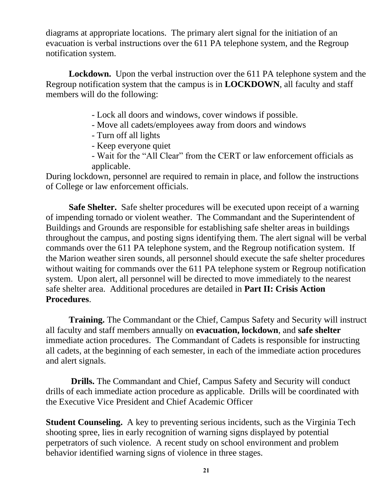diagrams at appropriate locations. The primary alert signal for the initiation of an evacuation is verbal instructions over the 611 PA telephone system, and the Regroup notification system.

<span id="page-20-0"></span>**Lockdown.** Upon the verbal instruction over the 611 PA telephone system and the Regroup notification system that the campus is in **LOCKDOWN**, all faculty and staff members will do the following:

- Lock all doors and windows, cover windows if possible.
- Move all cadets/employees away from doors and windows
- Turn off all lights
- Keep everyone quiet
- Wait for the "All Clear" from the CERT or law enforcement officials as applicable.

During lockdown, personnel are required to remain in place, and follow the instructions of College or law enforcement officials.

<span id="page-20-1"></span>**Safe Shelter.** Safe shelter procedures will be executed upon receipt of a warning of impending tornado or violent weather. The Commandant and the Superintendent of Buildings and Grounds are responsible for establishing safe shelter areas in buildings throughout the campus, and posting signs identifying them. The alert signal will be verbal commands over the 611 PA telephone system, and the Regroup notification system. If the Marion weather siren sounds, all personnel should execute the safe shelter procedures without waiting for commands over the 611 PA telephone system or Regroup notification system. Upon alert, all personnel will be directed to move immediately to the nearest safe shelter area. Additional procedures are detailed in **Part II: Crisis Action Procedures**.

<span id="page-20-2"></span>**Training.** The Commandant or the Chief, Campus Safety and Security will instruct all faculty and staff members annually on **evacuation, lockdown**, and **safe shelter** immediate action procedures. The Commandant of Cadets is responsible for instructing all cadets, at the beginning of each semester, in each of the immediate action procedures and alert signals.

<span id="page-20-3"></span>**Drills.** The Commandant and Chief, Campus Safety and Security will conduct drills of each immediate action procedure as applicable. Drills will be coordinated with the Executive Vice President and Chief Academic Officer

<span id="page-20-4"></span>**Student Counseling.** A key to preventing serious incidents, such as the Virginia Tech shooting spree, lies in early recognition of warning signs displayed by potential perpetrators of such violence. A recent study on school environment and problem behavior identified warning signs of violence in three stages.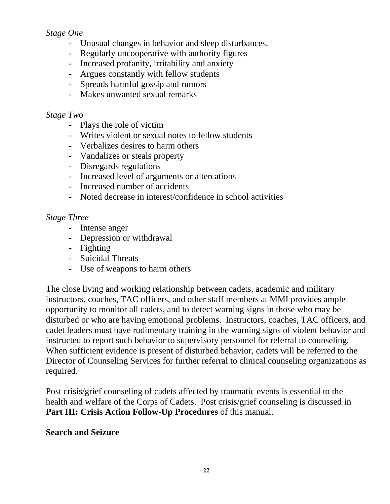## *Stage One*

- Unusual changes in behavior and sleep disturbances.
- Regularly uncooperative with authority figures
- Increased profanity, irritability and anxiety
- Argues constantly with fellow students
- Spreads harmful gossip and rumors
- Makes unwanted sexual remarks

## *Stage Two*

- Plays the role of victim
- Writes violent or sexual notes to fellow students
- Verbalizes desires to harm others
- Vandalizes or steals property
- Disregards regulations
- Increased level of arguments or altercations
- Increased number of accidents
- Noted decrease in interest/confidence in school activities

## *Stage Three*

- Intense anger
- Depression or withdrawal
- Fighting
- Suicidal Threats
- Use of weapons to harm others

The close living and working relationship between cadets, academic and military instructors, coaches, TAC officers, and other staff members at MMI provides ample opportunity to monitor all cadets, and to detect warning signs in those who may be disturbed or who are having emotional problems. Instructors, coaches, TAC officers, and cadet leaders must have rudimentary training in the warning signs of violent behavior and instructed to report such behavior to supervisory personnel for referral to counseling. When sufficient evidence is present of disturbed behavior, cadets will be referred to the Director of Counseling Services for further referral to clinical counseling organizations as required.

Post crisis/grief counseling of cadets affected by traumatic events is essential to the health and welfare of the Corps of Cadets. Post crisis/grief counseling is discussed in Part III: Crisis Action Follow-Up Procedures of this manual.

### <span id="page-21-0"></span>**Search and Seizure**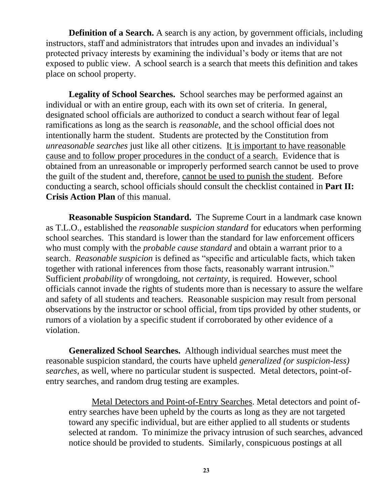**Definition of a Search.** A search is any action, by government officials, including instructors, staff and administrators that intrudes upon and invades an individual's protected privacy interests by examining the individual's body or items that are not exposed to public view. A school search is a search that meets this definition and takes place on school property.

**Legality of School Searches.** School searches may be performed against an individual or with an entire group, each with its own set of criteria. In general, designated school officials are authorized to conduct a search without fear of legal ramifications as long as the search is *reasonable,* and the school official does not intentionally harm the student. Students are protected by the Constitution from *unreasonable searches* just like all other citizens. It is important to have reasonable cause and to follow proper procedures in the conduct of a search. Evidence that is obtained from an unreasonable or improperly performed search cannot be used to prove the guilt of the student and, therefore, cannot be used to punish the student. Before conducting a search, school officials should consult the checklist contained in **Part II: Crisis Action Plan** of this manual.

**Reasonable Suspicion Standard.** The Supreme Court in a landmark case known as T.L.O., established the *reasonable suspicion standard* for educators when performing school searches. This standard is lower than the standard for law enforcement officers who must comply with the *probable cause standard* and obtain a warrant prior to a search. *Reasonable suspicion* is defined as "specific and articulable facts, which taken together with rational inferences from those facts, reasonably warrant intrusion." Sufficient *probability* of wrongdoing, not *certainty,* is required. However, school officials cannot invade the rights of students more than is necessary to assure the welfare and safety of all students and teachers. Reasonable suspicion may result from personal observations by the instructor or school official, from tips provided by other students, or rumors of a violation by a specific student if corroborated by other evidence of a violation.

**Generalized School Searches.** Although individual searches must meet the reasonable suspicion standard, the courts have upheld *generalized (or suspicion-less) searches*, as well, where no particular student is suspected. Metal detectors, point-ofentry searches, and random drug testing are examples.

Metal Detectors and Point-of-Entry Searches. Metal detectors and point ofentry searches have been upheld by the courts as long as they are not targeted toward any specific individual, but are either applied to all students or students selected at random. To minimize the privacy intrusion of such searches, advanced notice should be provided to students. Similarly, conspicuous postings at all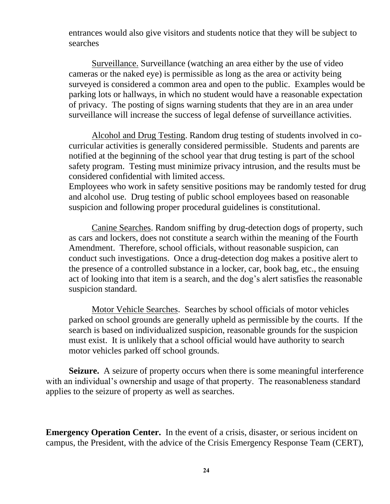entrances would also give visitors and students notice that they will be subject to searches

Surveillance. Surveillance (watching an area either by the use of video cameras or the naked eye) is permissible as long as the area or activity being surveyed is considered a common area and open to the public. Examples would be parking lots or hallways, in which no student would have a reasonable expectation of privacy. The posting of signs warning students that they are in an area under surveillance will increase the success of legal defense of surveillance activities.

Alcohol and Drug Testing. Random drug testing of students involved in cocurricular activities is generally considered permissible. Students and parents are notified at the beginning of the school year that drug testing is part of the school safety program. Testing must minimize privacy intrusion, and the results must be considered confidential with limited access.

Employees who work in safety sensitive positions may be randomly tested for drug and alcohol use. Drug testing of public school employees based on reasonable suspicion and following proper procedural guidelines is constitutional.

Canine Searches. Random sniffing by drug-detection dogs of property, such as cars and lockers, does not constitute a search within the meaning of the Fourth Amendment. Therefore, school officials, without reasonable suspicion, can conduct such investigations. Once a drug-detection dog makes a positive alert to the presence of a controlled substance in a locker, car, book bag, etc., the ensuing act of looking into that item is a search, and the dog's alert satisfies the reasonable suspicion standard.

Motor Vehicle Searches. Searches by school officials of motor vehicles parked on school grounds are generally upheld as permissible by the courts. If the search is based on individualized suspicion, reasonable grounds for the suspicion must exist. It is unlikely that a school official would have authority to search motor vehicles parked off school grounds.

**Seizure.** A seizure of property occurs when there is some meaningful interference with an individual's ownership and usage of that property. The reasonableness standard applies to the seizure of property as well as searches.

**Emergency Operation Center.** In the event of a crisis, disaster, or serious incident on campus, the President, with the advice of the Crisis Emergency Response Team (CERT),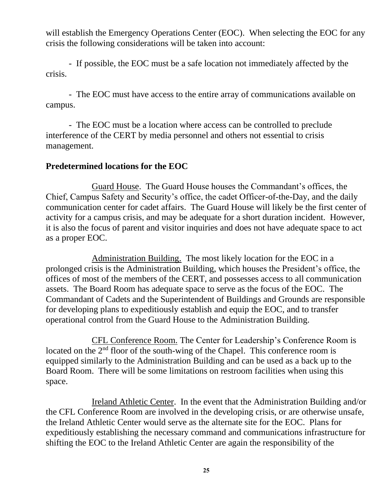will establish the Emergency Operations Center (EOC). When selecting the EOC for any crisis the following considerations will be taken into account:

- If possible, the EOC must be a safe location not immediately affected by the crisis.

- The EOC must have access to the entire array of communications available on campus.

- The EOC must be a location where access can be controlled to preclude interference of the CERT by media personnel and others not essential to crisis management.

### <span id="page-24-0"></span>**Predetermined locations for the EOC**

Guard House. The Guard House houses the Commandant's offices, the Chief, Campus Safety and Security's office, the cadet Officer-of-the-Day, and the daily communication center for cadet affairs. The Guard House will likely be the first center of activity for a campus crisis, and may be adequate for a short duration incident. However, it is also the focus of parent and visitor inquiries and does not have adequate space to act as a proper EOC.

Administration Building. The most likely location for the EOC in a prolonged crisis is the Administration Building, which houses the President's office, the offices of most of the members of the CERT, and possesses access to all communication assets. The Board Room has adequate space to serve as the focus of the EOC. The Commandant of Cadets and the Superintendent of Buildings and Grounds are responsible for developing plans to expeditiously establish and equip the EOC, and to transfer operational control from the Guard House to the Administration Building.

CFL Conference Room. The Center for Leadership's Conference Room is located on the 2<sup>nd</sup> floor of the south-wing of the Chapel. This conference room is equipped similarly to the Administration Building and can be used as a back up to the Board Room. There will be some limitations on restroom facilities when using this space.

Ireland Athletic Center. In the event that the Administration Building and/or the CFL Conference Room are involved in the developing crisis, or are otherwise unsafe, the Ireland Athletic Center would serve as the alternate site for the EOC. Plans for expeditiously establishing the necessary command and communications infrastructure for shifting the EOC to the Ireland Athletic Center are again the responsibility of the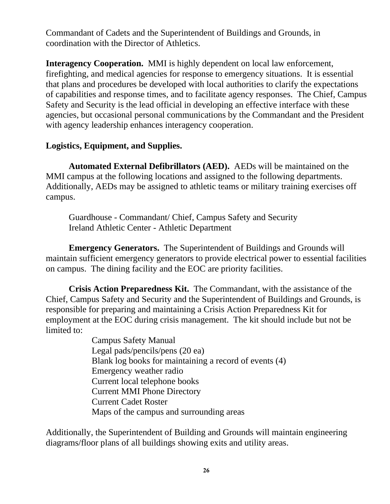Commandant of Cadets and the Superintendent of Buildings and Grounds, in coordination with the Director of Athletics.

**Interagency Cooperation.** MMI is highly dependent on local law enforcement, firefighting, and medical agencies for response to emergency situations. It is essential that plans and procedures be developed with local authorities to clarify the expectations of capabilities and response times, and to facilitate agency responses. The Chief, Campus Safety and Security is the lead official in developing an effective interface with these agencies, but occasional personal communications by the Commandant and the President with agency leadership enhances interagency cooperation.

## <span id="page-25-0"></span>**Logistics, Equipment, and Supplies.**

**Automated External Defibrillators (AED).** AEDs will be maintained on the MMI campus at the following locations and assigned to the following departments. Additionally, AEDs may be assigned to athletic teams or military training exercises off campus.

Guardhouse - Commandant/ Chief, Campus Safety and Security Ireland Athletic Center - Athletic Department

**Emergency Generators.** The Superintendent of Buildings and Grounds will maintain sufficient emergency generators to provide electrical power to essential facilities on campus. The dining facility and the EOC are priority facilities.

**Crisis Action Preparedness Kit.** The Commandant, with the assistance of the Chief, Campus Safety and Security and the Superintendent of Buildings and Grounds, is responsible for preparing and maintaining a Crisis Action Preparedness Kit for employment at the EOC during crisis management. The kit should include but not be limited to:

> Campus Safety Manual Legal pads/pencils/pens (20 ea) Blank log books for maintaining a record of events (4) Emergency weather radio Current local telephone books Current MMI Phone Directory Current Cadet Roster Maps of the campus and surrounding areas

Additionally, the Superintendent of Building and Grounds will maintain engineering diagrams/floor plans of all buildings showing exits and utility areas.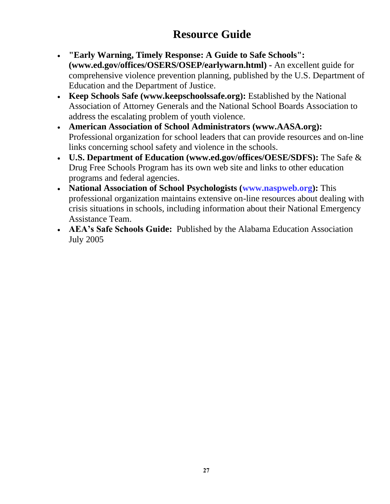## **Resource Guide**

- <span id="page-26-0"></span>• **"Early Warning, Timely Response: A Guide to Safe Schools": [\(www.ed.gov/offices/OSERS/OSEP/earlywarn.html\)](http://www.ed.gov/offices/OSERS/OSEP/earlywarn.html) -** An excellent guide for comprehensive violence prevention planning, published by the U.S. Department of Education and the Department of Justice.
- **Keep Schools Safe [\(www.keepschoolssafe.org\)](http://www.keepschoolssafe.org/):** Established by the National Association of Attorney Generals and the National School Boards Association to address the escalating problem of youth violence.
- **American Association of School Administrators [\(www.AASA.org\)](http://www.aasa.org/):** Professional organization for school leaders that can provide resources and on-line links concerning school safety and violence in the schools.
- **U.S. Department of Education [\(www.ed.gov/offices/OESE/SDFS\)](http://www.ed.gov/offices/OESE/SDFS):** The Safe & Drug Free Schools Program has its own web site and links to other education programs and federal agencies.
- **National Association of School Psychologists [\(www.naspweb.org\)](http://www.naspweb.org/):** This professional organization maintains extensive on-line resources about dealing with crisis situations in schools, including information about their National Emergency Assistance Team.
- **AEA's Safe Schools Guide:** Published by the Alabama Education Association July 2005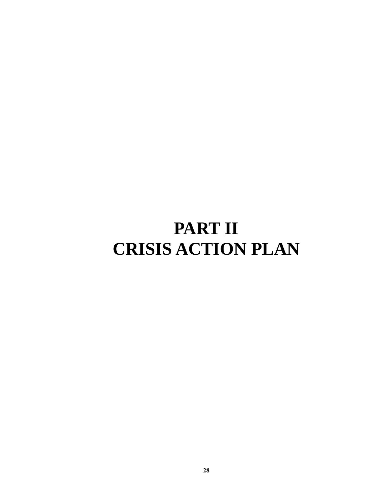# <span id="page-27-1"></span><span id="page-27-0"></span>**PART II CRISIS ACTION PLAN**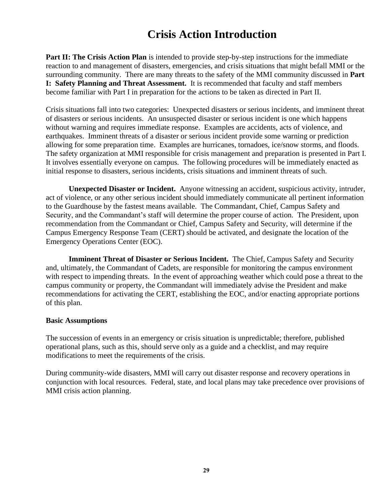## **Crisis Action Introduction**

<span id="page-28-0"></span>**Part II: The Crisis Action Plan** is intended to provide step-by-step instructions for the immediate reaction to and management of disasters, emergencies, and crisis situations that might befall MMI or the surrounding community. There are many threats to the safety of the MMI community discussed in **Part I: Safety Planning and Threat Assessment.** It is recommended that faculty and staff members become familiar with Part I in preparation for the actions to be taken as directed in Part II.

Crisis situations fall into two categories: Unexpected disasters or serious incidents, and imminent threat of disasters or serious incidents. An unsuspected disaster or serious incident is one which happens without warning and requires immediate response. Examples are accidents, acts of violence, and earthquakes. Imminent threats of a disaster or serious incident provide some warning or prediction allowing for some preparation time. Examples are hurricanes, tornadoes, ice/snow storms, and floods. The safety organization at MMI responsible for crisis management and preparation is presented in Part I. It involves essentially everyone on campus. The following procedures will be immediately enacted as initial response to disasters, serious incidents, crisis situations and imminent threats of such.

**Unexpected Disaster or Incident.** Anyone witnessing an accident, suspicious activity, intruder, act of violence, or any other serious incident should immediately communicate all pertinent information to the Guardhouse by the fastest means available. The Commandant, Chief, Campus Safety and Security, and the Commandant's staff will determine the proper course of action. The President, upon recommendation from the Commandant or Chief, Campus Safety and Security, will determine if the Campus Emergency Response Team (CERT) should be activated, and designate the location of the Emergency Operations Center (EOC).

**Imminent Threat of Disaster or Serious Incident.** The Chief, Campus Safety and Security and, ultimately, the Commandant of Cadets, are responsible for monitoring the campus environment with respect to impending threats. In the event of approaching weather which could pose a threat to the campus community or property, the Commandant will immediately advise the President and make recommendations for activating the CERT, establishing the EOC, and/or enacting appropriate portions of this plan.

#### **Basic Assumptions**

The succession of events in an emergency or crisis situation is unpredictable; therefore, published operational plans, such as this, should serve only as a guide and a checklist, and may require modifications to meet the requirements of the crisis.

During community-wide disasters, MMI will carry out disaster response and recovery operations in conjunction with local resources. Federal, state, and local plans may take precedence over provisions of MMI crisis action planning.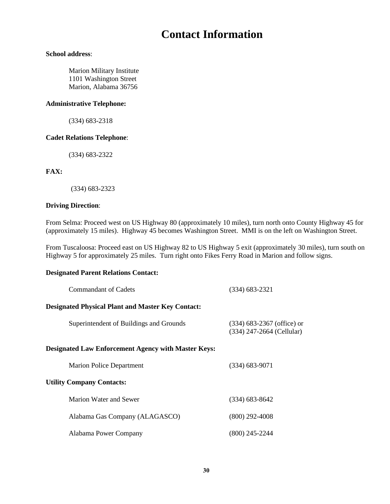## **Contact Information**

#### <span id="page-29-0"></span>**School address**:

Marion Military Institute 1101 Washington Street Marion, Alabama 36756

#### **Administrative Telephone:**

(334) 683-2318

#### **Cadet Relations Telephone**:

(334) 683-2322

#### **FAX:**

(334) 683-2323

#### **Driving Direction**:

From Selma: Proceed west on US Highway 80 (approximately 10 miles), turn north onto County Highway 45 for (approximately 15 miles). Highway 45 becomes Washington Street. MMI is on the left on Washington Street.

From Tuscaloosa: Proceed east on US Highway 82 to US Highway 5 exit (approximately 30 miles), turn south on Highway 5 for approximately 25 miles. Turn right onto Fikes Ferry Road in Marion and follow signs.

#### **Designated Parent Relations Contact:**

| Commandant of Cadets                                       | $(334)$ 683-2321                                          |  |  |
|------------------------------------------------------------|-----------------------------------------------------------|--|--|
| <b>Designated Physical Plant and Master Key Contact:</b>   |                                                           |  |  |
| Superintendent of Buildings and Grounds                    | $(334)$ 683-2367 (office) or<br>(334) 247-2664 (Cellular) |  |  |
| <b>Designated Law Enforcement Agency with Master Keys:</b> |                                                           |  |  |
| <b>Marion Police Department</b>                            | $(334)$ 683-9071                                          |  |  |
| <b>Utility Company Contacts:</b>                           |                                                           |  |  |
| Marion Water and Sewer                                     | $(334)$ 683-8642                                          |  |  |
| Alabama Gas Company (ALAGASCO)                             | $(800)$ 292-4008                                          |  |  |
| Alabama Power Company                                      | $(800)$ 245-2244                                          |  |  |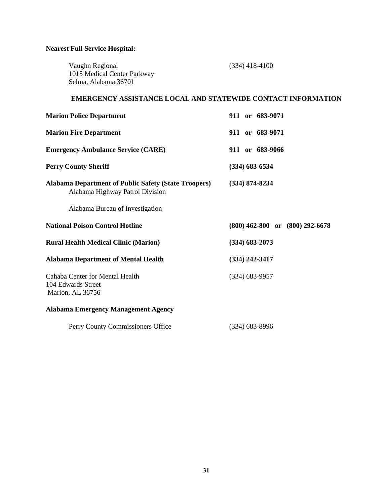#### **Nearest Full Service Hospital:**

| Vaughn Regional             | $(334)$ 418-4100 |
|-----------------------------|------------------|
| 1015 Medical Center Parkway |                  |
| Selma, Alabama 36701        |                  |

#### **EMERGENCY ASSISTANCE LOCAL AND STATEWIDE CONTACT INFORMATION**

| <b>Marion Police Department</b>                                                                | 911 or 683-9071                     |
|------------------------------------------------------------------------------------------------|-------------------------------------|
| <b>Marion Fire Department</b>                                                                  | 911 or 683-9071                     |
| <b>Emergency Ambulance Service (CARE)</b>                                                      | 911 or 683-9066                     |
| <b>Perry County Sheriff</b>                                                                    | $(334)$ 683-6534                    |
| <b>Alabama Department of Public Safety (State Troopers)</b><br>Alabama Highway Patrol Division | $(334) 874 - 8234$                  |
| Alabama Bureau of Investigation                                                                |                                     |
| <b>National Poison Control Hotline</b>                                                         | $(800)$ 462-800 or $(800)$ 292-6678 |
| <b>Rural Health Medical Clinic (Marion)</b>                                                    | $(334) 683 - 2073$                  |
| <b>Alabama Department of Mental Health</b>                                                     | $(334)$ 242-3417                    |
| Cahaba Center for Mental Health<br>104 Edwards Street<br>Marion, AL 36756                      | $(334) 683 - 9957$                  |
| <b>Alabama Emergency Management Agency</b>                                                     |                                     |
| Perry County Commissioners Office                                                              | $(334) 683 - 8996$                  |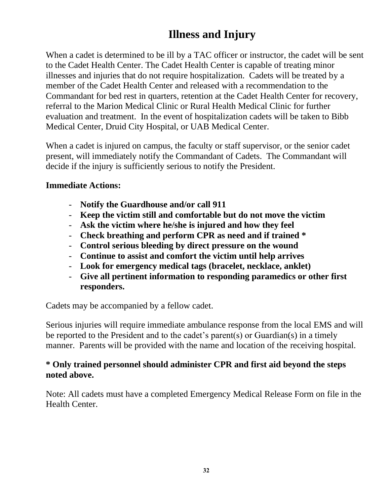## **Illness and Injury**

<span id="page-31-0"></span>When a cadet is determined to be ill by a TAC officer or instructor, the cadet will be sent to the Cadet Health Center. The Cadet Health Center is capable of treating minor illnesses and injuries that do not require hospitalization. Cadets will be treated by a member of the Cadet Health Center and released with a recommendation to the Commandant for bed rest in quarters, retention at the Cadet Health Center for recovery, referral to the Marion Medical Clinic or Rural Health Medical Clinic for further evaluation and treatment. In the event of hospitalization cadets will be taken to Bibb Medical Center, Druid City Hospital, or UAB Medical Center.

When a cadet is injured on campus, the faculty or staff supervisor, or the senior cadet present, will immediately notify the Commandant of Cadets. The Commandant will decide if the injury is sufficiently serious to notify the President.

### **Immediate Actions:**

- **Notify the Guardhouse and/or call 911**
- **Keep the victim still and comfortable but do not move the victim**
- **Ask the victim where he/she is injured and how they feel**
- **Check breathing and perform CPR as need and if trained \***
- **Control serious bleeding by direct pressure on the wound**
- **Continue to assist and comfort the victim until help arrives**
- **Look for emergency medical tags (bracelet, necklace, anklet)**
- **Give all pertinent information to responding paramedics or other first responders.**

Cadets may be accompanied by a fellow cadet.

Serious injuries will require immediate ambulance response from the local EMS and will be reported to the President and to the cadet's parent(s) or Guardian(s) in a timely manner. Parents will be provided with the name and location of the receiving hospital.

### **\* Only trained personnel should administer CPR and first aid beyond the steps noted above.**

Note: All cadets must have a completed Emergency Medical Release Form on file in the Health Center.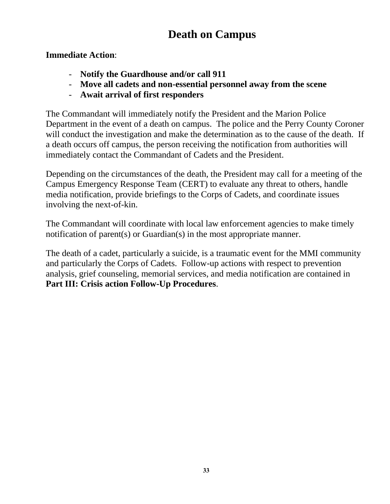## **Death on Campus**

<span id="page-32-0"></span>**Immediate Action**:

- **Notify the Guardhouse and/or call 911**
- **Move all cadets and non-essential personnel away from the scene**
- **Await arrival of first responders**

The Commandant will immediately notify the President and the Marion Police Department in the event of a death on campus. The police and the Perry County Coroner will conduct the investigation and make the determination as to the cause of the death. If a death occurs off campus, the person receiving the notification from authorities will immediately contact the Commandant of Cadets and the President.

Depending on the circumstances of the death, the President may call for a meeting of the Campus Emergency Response Team (CERT) to evaluate any threat to others, handle media notification, provide briefings to the Corps of Cadets, and coordinate issues involving the next-of-kin.

The Commandant will coordinate with local law enforcement agencies to make timely notification of parent(s) or Guardian(s) in the most appropriate manner.

The death of a cadet, particularly a suicide, is a traumatic event for the MMI community and particularly the Corps of Cadets. Follow-up actions with respect to prevention analysis, grief counseling, memorial services, and media notification are contained in **Part III: Crisis action Follow-Up Procedures**.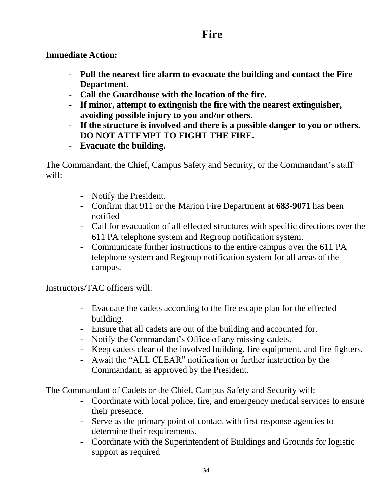## **Fire**

<span id="page-33-0"></span>**Immediate Action:**

- **Pull the nearest fire alarm to evacuate the building and contact the Fire Department.**
- **Call the Guardhouse with the location of the fire.**
- **If minor, attempt to extinguish the fire with the nearest extinguisher, avoiding possible injury to you and/or others.**
- **If the structure is involved and there is a possible danger to you or others. DO NOT ATTEMPT TO FIGHT THE FIRE.**
- **Evacuate the building.**

The Commandant, the Chief, Campus Safety and Security, or the Commandant's staff will:

- Notify the President.
- Confirm that 911 or the Marion Fire Department at **683-9071** has been notified
- Call for evacuation of all effected structures with specific directions over the 611 PA telephone system and Regroup notification system.
- Communicate further instructions to the entire campus over the 611 PA telephone system and Regroup notification system for all areas of the campus.

Instructors/TAC officers will:

- Evacuate the cadets according to the fire escape plan for the effected building.
- Ensure that all cadets are out of the building and accounted for.
- Notify the Commandant's Office of any missing cadets.
- Keep cadets clear of the involved building, fire equipment, and fire fighters.
- Await the "ALL CLEAR" notification or further instruction by the Commandant, as approved by the President.

The Commandant of Cadets or the Chief, Campus Safety and Security will:

- Coordinate with local police, fire, and emergency medical services to ensure their presence.
- Serve as the primary point of contact with first response agencies to determine their requirements.
- Coordinate with the Superintendent of Buildings and Grounds for logistic support as required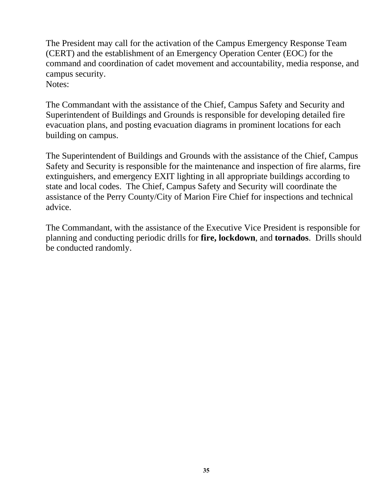The President may call for the activation of the Campus Emergency Response Team (CERT) and the establishment of an Emergency Operation Center (EOC) for the command and coordination of cadet movement and accountability, media response, and campus security. Notes:

The Commandant with the assistance of the Chief, Campus Safety and Security and Superintendent of Buildings and Grounds is responsible for developing detailed fire evacuation plans, and posting evacuation diagrams in prominent locations for each building on campus.

The Superintendent of Buildings and Grounds with the assistance of the Chief, Campus Safety and Security is responsible for the maintenance and inspection of fire alarms, fire extinguishers, and emergency EXIT lighting in all appropriate buildings according to state and local codes. The Chief, Campus Safety and Security will coordinate the assistance of the Perry County/City of Marion Fire Chief for inspections and technical advice.

The Commandant, with the assistance of the Executive Vice President is responsible for planning and conducting periodic drills for **fire, lockdown**, and **tornados**. Drills should be conducted randomly.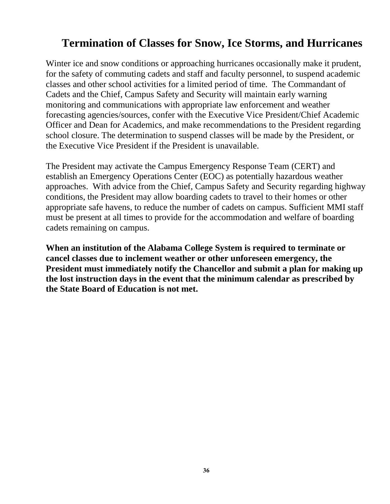## <span id="page-35-0"></span>**Termination of Classes for Snow, Ice Storms, and Hurricanes**

Winter ice and snow conditions or approaching hurricanes occasionally make it prudent, for the safety of commuting cadets and staff and faculty personnel, to suspend academic classes and other school activities for a limited period of time. The Commandant of Cadets and the Chief, Campus Safety and Security will maintain early warning monitoring and communications with appropriate law enforcement and weather forecasting agencies/sources, confer with the Executive Vice President/Chief Academic Officer and Dean for Academics, and make recommendations to the President regarding school closure. The determination to suspend classes will be made by the President, or the Executive Vice President if the President is unavailable.

The President may activate the Campus Emergency Response Team (CERT) and establish an Emergency Operations Center (EOC) as potentially hazardous weather approaches. With advice from the Chief, Campus Safety and Security regarding highway conditions, the President may allow boarding cadets to travel to their homes or other appropriate safe havens, to reduce the number of cadets on campus. Sufficient MMI staff must be present at all times to provide for the accommodation and welfare of boarding cadets remaining on campus.

**When an institution of the Alabama College System is required to terminate or cancel classes due to inclement weather or other unforeseen emergency, the President must immediately notify the Chancellor and submit a plan for making up the lost instruction days in the event that the minimum calendar as prescribed by the State Board of Education is not met.**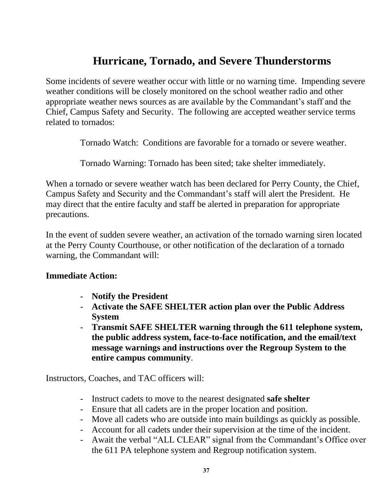## **Hurricane, Tornado, and Severe Thunderstorms**

<span id="page-36-0"></span>Some incidents of severe weather occur with little or no warning time. Impending severe weather conditions will be closely monitored on the school weather radio and other appropriate weather news sources as are available by the Commandant's staff and the Chief, Campus Safety and Security. The following are accepted weather service terms related to tornados:

Tornado Watch: Conditions are favorable for a tornado or severe weather.

Tornado Warning: Tornado has been sited; take shelter immediately.

When a tornado or severe weather watch has been declared for Perry County, the Chief, Campus Safety and Security and the Commandant's staff will alert the President. He may direct that the entire faculty and staff be alerted in preparation for appropriate precautions.

In the event of sudden severe weather, an activation of the tornado warning siren located at the Perry County Courthouse, or other notification of the declaration of a tornado warning, the Commandant will:

### **Immediate Action:**

- **Notify the President**
- **Activate the SAFE SHELTER action plan over the Public Address System**
- **Transmit SAFE SHELTER warning through the 611 telephone system, the public address system, face-to-face notification, and the email/text message warnings and instructions over the Regroup System to the entire campus community**.

Instructors, Coaches, and TAC officers will:

- Instruct cadets to move to the nearest designated **safe shelter**
- Ensure that all cadets are in the proper location and position.
- Move all cadets who are outside into main buildings as quickly as possible.
- Account for all cadets under their supervision at the time of the incident.
- Await the verbal "ALL CLEAR" signal from the Commandant's Office over the 611 PA telephone system and Regroup notification system.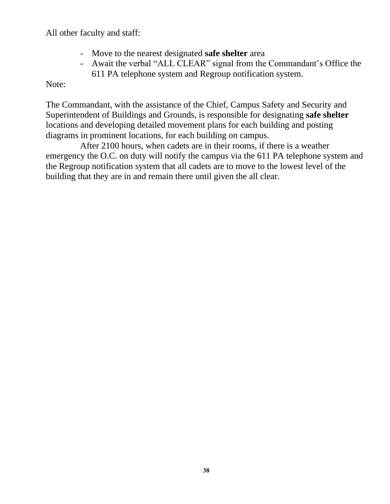All other faculty and staff:

- Move to the nearest designated **safe shelter** area
- Await the verbal "ALL CLEAR" signal from the Commandant's Office the 611 PA telephone system and Regroup notification system.

Note:

The Commandant, with the assistance of the Chief, Campus Safety and Security and Superintendent of Buildings and Grounds, is responsible for designating **safe shelter** locations and developing detailed movement plans for each building and posting diagrams in prominent locations, for each building on campus.

After 2100 hours, when cadets are in their rooms, if there is a weather emergency the O.C. on duty will notify the campus via the 611 PA telephone system and the Regroup notification system that all cadets are to move to the lowest level of the building that they are in and remain there until given the all clear.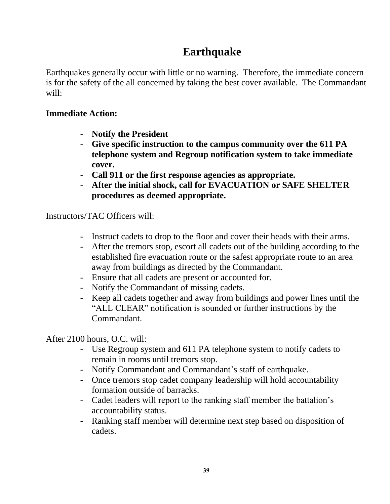## **Earthquake**

<span id="page-38-0"></span>Earthquakes generally occur with little or no warning. Therefore, the immediate concern is for the safety of the all concerned by taking the best cover available. The Commandant will:

## **Immediate Action:**

- **Notify the President**
- **Give specific instruction to the campus community over the 611 PA telephone system and Regroup notification system to take immediate cover.**
- **Call 911 or the first response agencies as appropriate.**
- **After the initial shock, call for EVACUATION or SAFE SHELTER procedures as deemed appropriate.**

Instructors/TAC Officers will:

- Instruct cadets to drop to the floor and cover their heads with their arms.
- After the tremors stop, escort all cadets out of the building according to the established fire evacuation route or the safest appropriate route to an area away from buildings as directed by the Commandant.
- Ensure that all cadets are present or accounted for.
- Notify the Commandant of missing cadets.
- Keep all cadets together and away from buildings and power lines until the "ALL CLEAR" notification is sounded or further instructions by the Commandant.

After 2100 hours, O.C. will:

- Use Regroup system and 611 PA telephone system to notify cadets to remain in rooms until tremors stop.
- Notify Commandant and Commandant's staff of earthquake.
- Once tremors stop cadet company leadership will hold accountability formation outside of barracks.
- Cadet leaders will report to the ranking staff member the battalion's accountability status.
- Ranking staff member will determine next step based on disposition of cadets.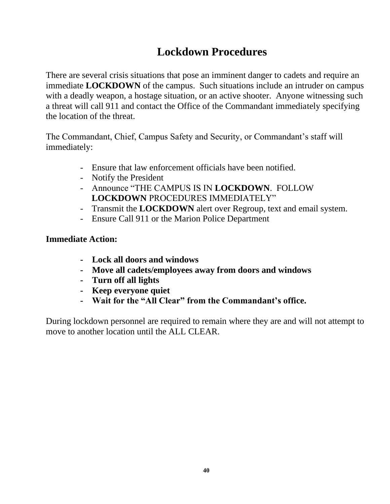## **Lockdown Procedures**

<span id="page-39-0"></span>There are several crisis situations that pose an imminent danger to cadets and require an immediate **LOCKDOWN** of the campus. Such situations include an intruder on campus with a deadly weapon, a hostage situation, or an active shooter. Anyone witnessing such a threat will call 911 and contact the Office of the Commandant immediately specifying the location of the threat.

The Commandant, Chief, Campus Safety and Security, or Commandant's staff will immediately:

- Ensure that law enforcement officials have been notified.
- Notify the President
- Announce "THE CAMPUS IS IN **LOCKDOWN**. FOLLOW **LOCKDOWN** PROCEDURES IMMEDIATELY"
- Transmit the **LOCKDOWN** alert over Regroup, text and email system.
- Ensure Call 911 or the Marion Police Department

## **Immediate Action:**

- **Lock all doors and windows**
- **Move all cadets/employees away from doors and windows**
- **Turn off all lights**
- **Keep everyone quiet**
- **Wait for the "All Clear" from the Commandant's office.**

During lockdown personnel are required to remain where they are and will not attempt to move to another location until the ALL CLEAR.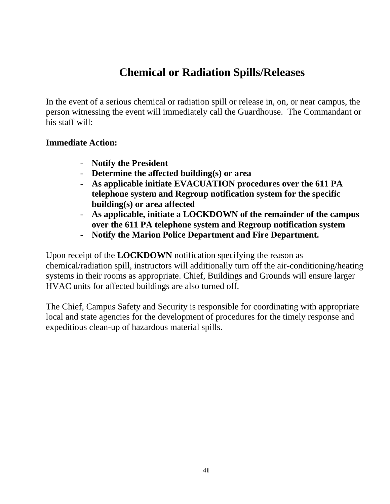## **Chemical or Radiation Spills/Releases**

<span id="page-40-0"></span>In the event of a serious chemical or radiation spill or release in, on, or near campus, the person witnessing the event will immediately call the Guardhouse. The Commandant or his staff will:

### **Immediate Action:**

- **Notify the President**
- **Determine the affected building(s) or area**
- **As applicable initiate EVACUATION procedures over the 611 PA telephone system and Regroup notification system for the specific building(s) or area affected**
- **As applicable, initiate a LOCKDOWN of the remainder of the campus over the 611 PA telephone system and Regroup notification system**
- **Notify the Marion Police Department and Fire Department.**

Upon receipt of the **LOCKDOWN** notification specifying the reason as chemical/radiation spill, instructors will additionally turn off the air-conditioning/heating systems in their rooms as appropriate. Chief, Buildings and Grounds will ensure larger HVAC units for affected buildings are also turned off.

The Chief, Campus Safety and Security is responsible for coordinating with appropriate local and state agencies for the development of procedures for the timely response and expeditious clean-up of hazardous material spills.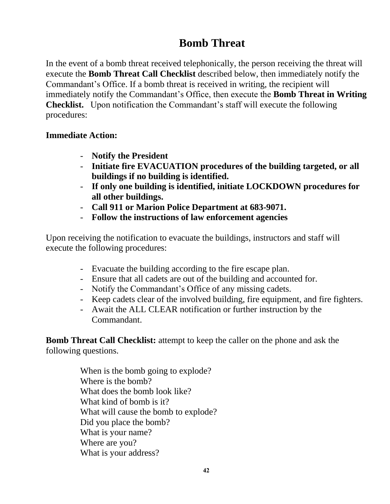## **Bomb Threat**

<span id="page-41-0"></span>In the event of a bomb threat received telephonically, the person receiving the threat will execute the **Bomb Threat Call Checklist** described below, then immediately notify the Commandant's Office. If a bomb threat is received in writing, the recipient will immediately notify the Commandant's Office, then execute the **Bomb Threat in Writing Checklist.** Upon notification the Commandant's staff will execute the following procedures:

## **Immediate Action:**

- **Notify the President**
- **Initiate fire EVACUATION procedures of the building targeted, or all buildings if no building is identified.**
- **If only one building is identified, initiate LOCKDOWN procedures for all other buildings.**
- **Call 911 or Marion Police Department at 683-9071.**
- **Follow the instructions of law enforcement agencies**

Upon receiving the notification to evacuate the buildings, instructors and staff will execute the following procedures:

- Evacuate the building according to the fire escape plan.
- Ensure that all cadets are out of the building and accounted for.
- Notify the Commandant's Office of any missing cadets.
- Keep cadets clear of the involved building, fire equipment, and fire fighters.
- Await the ALL CLEAR notification or further instruction by the Commandant.

**Bomb Threat Call Checklist:** attempt to keep the caller on the phone and ask the following questions.

> When is the bomb going to explode? Where is the bomb? What does the bomb look like? What kind of bomb is it? What will cause the bomb to explode? Did you place the bomb? What is your name? Where are you? What is your address?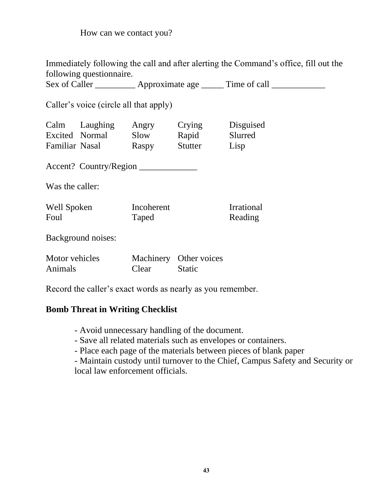How can we contact you?

Immediately following the call and after alerting the Command's office, fill out the following questionnaire.

Sex of Caller **Approximate age Time of call** 

Caller's voice (circle all that apply)

| Calm           | Laughing | Angry | Crying  | Disguised |
|----------------|----------|-------|---------|-----------|
| Excited Normal |          | Slow  | Rapid   | Slurred   |
| Familiar Nasal |          | Raspy | Stutter | Lisp      |

Accent? Country/Region \_\_\_\_\_\_\_\_\_\_\_\_\_

Was the caller:

| Well Spoken | Incoherent | <b>Irrational</b> |
|-------------|------------|-------------------|
| Foul        | Taped      | Reading           |

Background noises:

| Motor vehicles |       | Machinery Other voices |
|----------------|-------|------------------------|
| <b>Animals</b> | Clear | <b>Static</b>          |

Record the caller's exact words as nearly as you remember.

### **Bomb Threat in Writing Checklist**

- Avoid unnecessary handling of the document.
- Save all related materials such as envelopes or containers.
- Place each page of the materials between pieces of blank paper

- Maintain custody until turnover to the Chief, Campus Safety and Security or local law enforcement officials.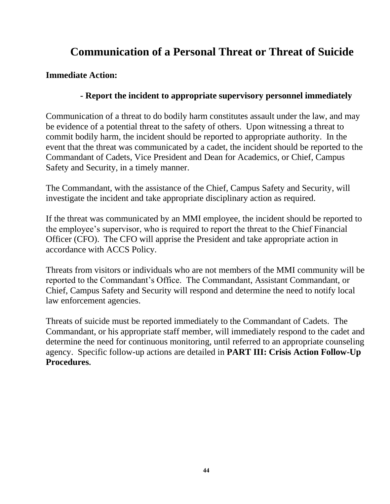## **Communication of a Personal Threat or Threat of Suicide**

## <span id="page-43-0"></span>**Immediate Action:**

## **- Report the incident to appropriate supervisory personnel immediately**

Communication of a threat to do bodily harm constitutes assault under the law, and may be evidence of a potential threat to the safety of others. Upon witnessing a threat to commit bodily harm, the incident should be reported to appropriate authority. In the event that the threat was communicated by a cadet, the incident should be reported to the Commandant of Cadets, Vice President and Dean for Academics, or Chief, Campus Safety and Security, in a timely manner.

The Commandant, with the assistance of the Chief, Campus Safety and Security, will investigate the incident and take appropriate disciplinary action as required.

If the threat was communicated by an MMI employee, the incident should be reported to the employee's supervisor, who is required to report the threat to the Chief Financial Officer (CFO). The CFO will apprise the President and take appropriate action in accordance with ACCS Policy.

Threats from visitors or individuals who are not members of the MMI community will be reported to the Commandant's Office. The Commandant, Assistant Commandant, or Chief, Campus Safety and Security will respond and determine the need to notify local law enforcement agencies.

Threats of suicide must be reported immediately to the Commandant of Cadets. The Commandant, or his appropriate staff member, will immediately respond to the cadet and determine the need for continuous monitoring, until referred to an appropriate counseling agency. Specific follow-up actions are detailed in **PART III: Crisis Action Follow-Up Procedures.**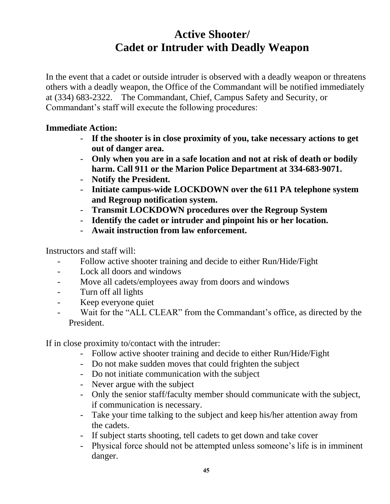## **Active Shooter/ Cadet or Intruder with Deadly Weapon**

<span id="page-44-1"></span><span id="page-44-0"></span>In the event that a cadet or outside intruder is observed with a deadly weapon or threatens others with a deadly weapon, the Office of the Commandant will be notified immediately at (334) 683-2322. The Commandant, Chief, Campus Safety and Security, or Commandant's staff will execute the following procedures:

### **Immediate Action:**

- **If the shooter is in close proximity of you, take necessary actions to get out of danger area.**
- **Only when you are in a safe location and not at risk of death or bodily harm. Call 911 or the Marion Police Department at 334-683-9071.**
- **Notify the President.**
- **Initiate campus-wide LOCKDOWN over the 611 PA telephone system and Regroup notification system.**
- **Transmit LOCKDOWN procedures over the Regroup System**
- **Identify the cadet or intruder and pinpoint his or her location.**
- **Await instruction from law enforcement.**

Instructors and staff will:

- Follow active shooter training and decide to either Run/Hide/Fight
- Lock all doors and windows
- Move all cadets/employees away from doors and windows
- Turn off all lights
- Keep everyone quiet
- Wait for the "ALL CLEAR" from the Commandant's office, as directed by the President.

If in close proximity to/contact with the intruder:

- Follow active shooter training and decide to either Run/Hide/Fight
- Do not make sudden moves that could frighten the subject
- Do not initiate communication with the subject
- Never argue with the subject
- Only the senior staff/faculty member should communicate with the subject, if communication is necessary.
- Take your time talking to the subject and keep his/her attention away from the cadets.
- If subject starts shooting, tell cadets to get down and take cover
- Physical force should not be attempted unless someone's life is in imminent danger.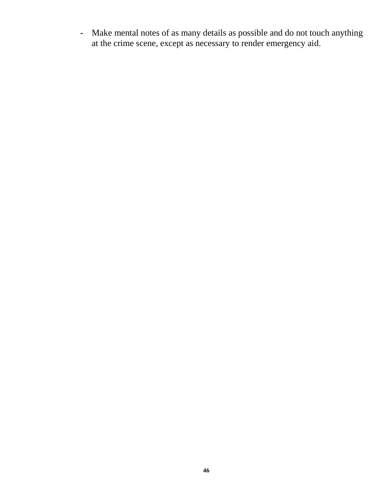- Make mental notes of as many details as possible and do not touch anything at the crime scene, except as necessary to render emergency aid.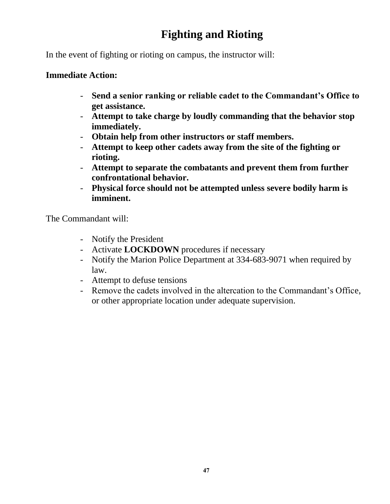## **Fighting and Rioting**

<span id="page-46-0"></span>In the event of fighting or rioting on campus, the instructor will:

### **Immediate Action:**

- **Send a senior ranking or reliable cadet to the Commandant's Office to get assistance.**
- **Attempt to take charge by loudly commanding that the behavior stop immediately.**
- **Obtain help from other instructors or staff members.**
- **Attempt to keep other cadets away from the site of the fighting or rioting.**
- **Attempt to separate the combatants and prevent them from further confrontational behavior.**
- **Physical force should not be attempted unless severe bodily harm is imminent.**

The Commandant will:

- Notify the President
- Activate **LOCKDOWN** procedures if necessary
- Notify the Marion Police Department at 334-683-9071 when required by law.
- Attempt to defuse tensions
- Remove the cadets involved in the altercation to the Commandant's Office, or other appropriate location under adequate supervision.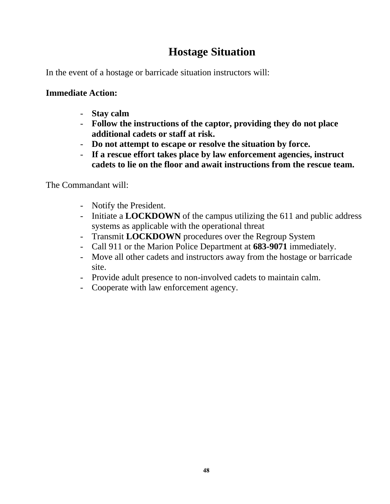## **Hostage Situation**

<span id="page-47-0"></span>In the event of a hostage or barricade situation instructors will:

## **Immediate Action:**

- **Stay calm**
- **Follow the instructions of the captor, providing they do not place additional cadets or staff at risk.**
- **Do not attempt to escape or resolve the situation by force.**
- **If a rescue effort takes place by law enforcement agencies, instruct cadets to lie on the floor and await instructions from the rescue team.**

The Commandant will:

- Notify the President.
- Initiate a **LOCKDOWN** of the campus utilizing the 611 and public address systems as applicable with the operational threat
- Transmit **LOCKDOWN** procedures over the Regroup System
- Call 911 or the Marion Police Department at **683-9071** immediately.
- Move all other cadets and instructors away from the hostage or barricade site.
- Provide adult presence to non-involved cadets to maintain calm.
- Cooperate with law enforcement agency.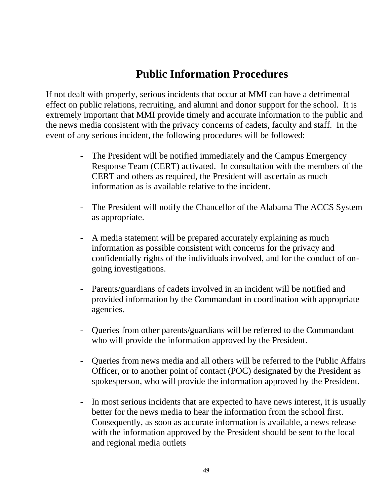## **Public Information Procedures**

<span id="page-48-0"></span>If not dealt with properly, serious incidents that occur at MMI can have a detrimental effect on public relations, recruiting, and alumni and donor support for the school. It is extremely important that MMI provide timely and accurate information to the public and the news media consistent with the privacy concerns of cadets, faculty and staff. In the event of any serious incident, the following procedures will be followed:

- The President will be notified immediately and the Campus Emergency Response Team (CERT) activated. In consultation with the members of the CERT and others as required, the President will ascertain as much information as is available relative to the incident.
- The President will notify the Chancellor of the Alabama The ACCS System as appropriate.
- A media statement will be prepared accurately explaining as much information as possible consistent with concerns for the privacy and confidentially rights of the individuals involved, and for the conduct of ongoing investigations.
- Parents/guardians of cadets involved in an incident will be notified and provided information by the Commandant in coordination with appropriate agencies.
- Queries from other parents/guardians will be referred to the Commandant who will provide the information approved by the President.
- Queries from news media and all others will be referred to the Public Affairs Officer, or to another point of contact (POC) designated by the President as spokesperson, who will provide the information approved by the President.
- In most serious incidents that are expected to have news interest, it is usually better for the news media to hear the information from the school first. Consequently, as soon as accurate information is available, a news release with the information approved by the President should be sent to the local and regional media outlets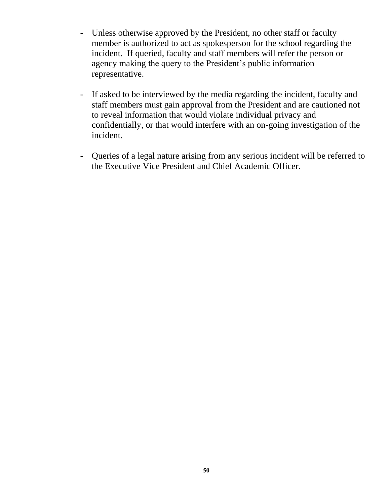- Unless otherwise approved by the President, no other staff or faculty member is authorized to act as spokesperson for the school regarding the incident. If queried, faculty and staff members will refer the person or agency making the query to the President's public information representative.
- If asked to be interviewed by the media regarding the incident, faculty and staff members must gain approval from the President and are cautioned not to reveal information that would violate individual privacy and confidentially, or that would interfere with an on-going investigation of the incident.
- Queries of a legal nature arising from any serious incident will be referred to the Executive Vice President and Chief Academic Officer.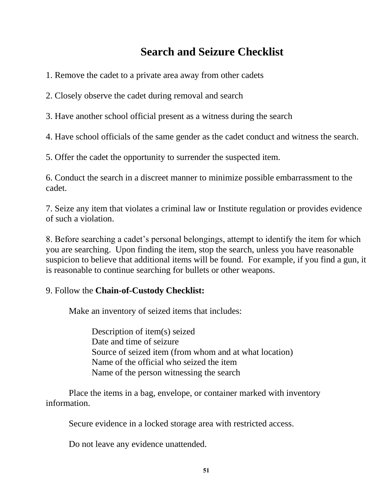## **Search and Seizure Checklist**

- <span id="page-50-0"></span>1. Remove the cadet to a private area away from other cadets
- 2. Closely observe the cadet during removal and search
- 3. Have another school official present as a witness during the search
- 4. Have school officials of the same gender as the cadet conduct and witness the search.
- 5. Offer the cadet the opportunity to surrender the suspected item.

6. Conduct the search in a discreet manner to minimize possible embarrassment to the cadet.

7. Seize any item that violates a criminal law or Institute regulation or provides evidence of such a violation.

8. Before searching a cadet's personal belongings, attempt to identify the item for which you are searching. Upon finding the item, stop the search, unless you have reasonable suspicion to believe that additional items will be found. For example, if you find a gun, it is reasonable to continue searching for bullets or other weapons.

### 9. Follow the **Chain-of-Custody Checklist:**

Make an inventory of seized items that includes:

Description of item(s) seized Date and time of seizure Source of seized item (from whom and at what location) Name of the official who seized the item Name of the person witnessing the search

Place the items in a bag, envelope, or container marked with inventory information.

Secure evidence in a locked storage area with restricted access.

Do not leave any evidence unattended.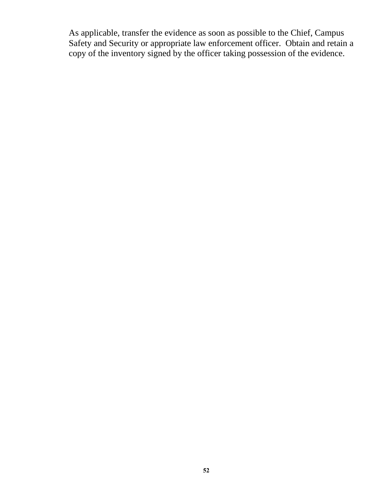As applicable, transfer the evidence as soon as possible to the Chief, Campus Safety and Security or appropriate law enforcement officer. Obtain and retain a copy of the inventory signed by the officer taking possession of the evidence.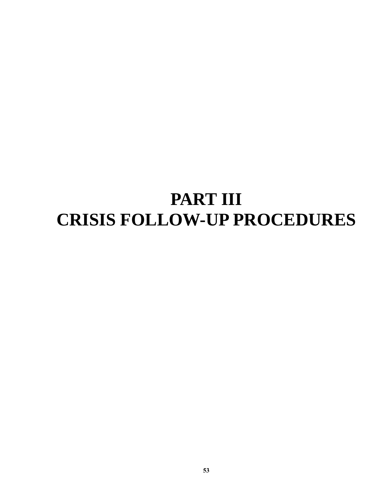# <span id="page-52-1"></span><span id="page-52-0"></span>**PART III CRISIS FOLLOW-UP PROCEDURES**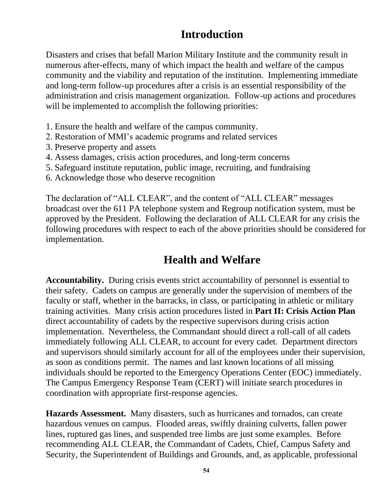## **Introduction**

<span id="page-53-0"></span>Disasters and crises that befall Marion Military Institute and the community result in numerous after-effects, many of which impact the health and welfare of the campus community and the viability and reputation of the institution. Implementing immediate and long-term follow-up procedures after a crisis is an essential responsibility of the administration and crisis management organization. Follow-up actions and procedures will be implemented to accomplish the following priorities:

- 1. Ensure the health and welfare of the campus community.
- 2. Restoration of MMI's academic programs and related services
- 3. Preserve property and assets
- 4. Assess damages, crisis action procedures, and long-term concerns
- 5. Safeguard institute reputation, public image, recruiting, and fundraising
- 6. Acknowledge those who deserve recognition

The declaration of "ALL CLEAR", and the content of "ALL CLEAR" messages broadcast over the 611 PA telephone system and Regroup notification system, must be approved by the President. Following the declaration of ALL CLEAR for any crisis the following procedures with respect to each of the above priorities should be considered for implementation.

## **Health and Welfare**

<span id="page-53-1"></span>**Accountability.** During crisis events strict accountability of personnel is essential to their safety. Cadets on campus are generally under the supervision of members of the faculty or staff, whether in the barracks, in class, or participating in athletic or military training activities. Many crisis action procedures listed in **Part II: Crisis Action Plan** direct accountability of cadets by the respective supervisors during crisis action implementation. Nevertheless, the Commandant should direct a roll-call of all cadets immediately following ALL CLEAR, to account for every cadet. Department directors and supervisors should similarly account for all of the employees under their supervision, as soon as conditions permit. The names and last known locations of all missing individuals should be reported to the Emergency Operations Center (EOC) immediately. The Campus Emergency Response Team (CERT) will initiate search procedures in coordination with appropriate first-response agencies.

**Hazards Assessment.** Many disasters, such as hurricanes and tornados, can create hazardous venues on campus. Flooded areas, swiftly draining culverts, fallen power lines, ruptured gas lines, and suspended tree limbs are just some examples. Before recommending ALL CLEAR, the Commandant of Cadets, Chief, Campus Safety and Security, the Superintendent of Buildings and Grounds, and, as applicable, professional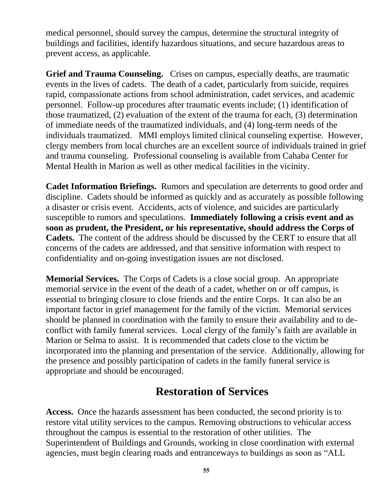medical personnel, should survey the campus, determine the structural integrity of buildings and facilities, identify hazardous situations, and secure hazardous areas to prevent access, as applicable.

**Grief and Trauma Counseling.** Crises on campus, especially deaths, are traumatic events in the lives of cadets. The death of a cadet, particularly from suicide, requires rapid, compassionate actions from school administration, cadet services, and academic personnel. Follow-up procedures after traumatic events include; (1) identification of those traumatized, (2) evaluation of the extent of the trauma for each, (3) determination of immediate needs of the traumatized individuals, and (4) long-term needs of the individuals traumatized. MMI employs limited clinical counseling expertise. However, clergy members from local churches are an excellent source of individuals trained in grief and trauma counseling. Professional counseling is available from Cahaba Center for Mental Health in Marion as well as other medical facilities in the vicinity.

**Cadet Information Briefings.** Rumors and speculation are deterrents to good order and discipline. Cadets should be informed as quickly and as accurately as possible following a disaster or crisis event. Accidents, acts of violence, and suicides are particularly susceptible to rumors and speculations. **Immediately following a crisis event and as soon as prudent, the President, or his representative, should address the Corps of Cadets.** The content of the address should be discussed by the CERT to ensure that all concerns of the cadets are addressed, and that sensitive information with respect to confidentiality and on-going investigation issues are not disclosed.

**Memorial Services.** The Corps of Cadets is a close social group. An appropriate memorial service in the event of the death of a cadet, whether on or off campus, is essential to bringing closure to close friends and the entire Corps. It can also be an important factor in grief management for the family of the victim. Memorial services should be planned in coordination with the family to ensure their availability and to deconflict with family funeral services. Local clergy of the family's faith are available in Marion or Selma to assist. It is recommended that cadets close to the victim be incorporated into the planning and presentation of the service. Additionally, allowing for the presence and possibly participation of cadets in the family funeral service is appropriate and should be encouraged.

## **Restoration of Services**

<span id="page-54-0"></span>**Access.** Once the hazards assessment has been conducted, the second priority is to restore vital utility services to the campus. Removing obstructions to vehicular access throughout the campus is essential to the restoration of other utilities. The Superintendent of Buildings and Grounds, working in close coordination with external agencies, must begin clearing roads and entranceways to buildings as soon as "ALL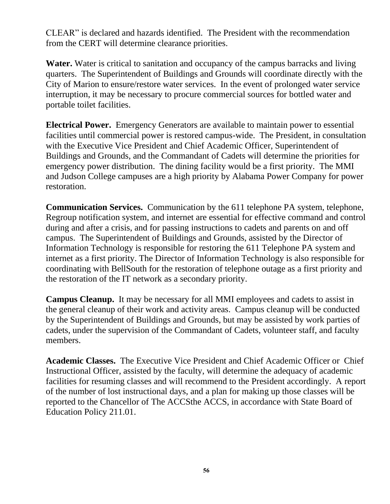CLEAR" is declared and hazards identified. The President with the recommendation from the CERT will determine clearance priorities.

**Water.** Water is critical to sanitation and occupancy of the campus barracks and living quarters. The Superintendent of Buildings and Grounds will coordinate directly with the City of Marion to ensure/restore water services. In the event of prolonged water service interruption, it may be necessary to procure commercial sources for bottled water and portable toilet facilities.

**Electrical Power.** Emergency Generators are available to maintain power to essential facilities until commercial power is restored campus-wide. The President, in consultation with the Executive Vice President and Chief Academic Officer, Superintendent of Buildings and Grounds, and the Commandant of Cadets will determine the priorities for emergency power distribution. The dining facility would be a first priority. The MMI and Judson College campuses are a high priority by Alabama Power Company for power restoration.

**Communication Services.** Communication by the 611 telephone PA system, telephone, Regroup notification system, and internet are essential for effective command and control during and after a crisis, and for passing instructions to cadets and parents on and off campus. The Superintendent of Buildings and Grounds, assisted by the Director of Information Technology is responsible for restoring the 611 Telephone PA system and internet as a first priority. The Director of Information Technology is also responsible for coordinating with BellSouth for the restoration of telephone outage as a first priority and the restoration of the IT network as a secondary priority.

**Campus Cleanup.** It may be necessary for all MMI employees and cadets to assist in the general cleanup of their work and activity areas. Campus cleanup will be conducted by the Superintendent of Buildings and Grounds, but may be assisted by work parties of cadets, under the supervision of the Commandant of Cadets, volunteer staff, and faculty members.

**Academic Classes.** The Executive Vice President and Chief Academic Officer or Chief Instructional Officer, assisted by the faculty, will determine the adequacy of academic facilities for resuming classes and will recommend to the President accordingly. A report of the number of lost instructional days, and a plan for making up those classes will be reported to the Chancellor of The ACCSthe ACCS, in accordance with State Board of Education Policy 211.01.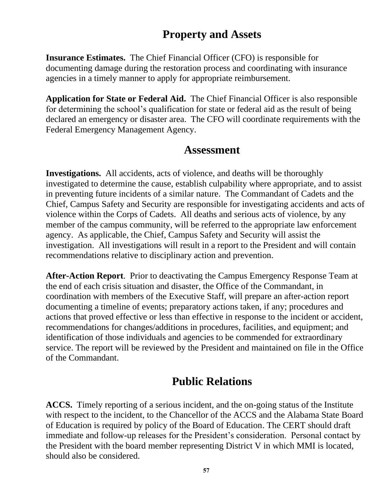## **Property and Assets**

<span id="page-56-0"></span>**Insurance Estimates.** The Chief Financial Officer (CFO) is responsible for documenting damage during the restoration process and coordinating with insurance agencies in a timely manner to apply for appropriate reimbursement.

**Application for State or Federal Aid.** The Chief Financial Officer is also responsible for determining the school's qualification for state or federal aid as the result of being declared an emergency or disaster area. The CFO will coordinate requirements with the Federal Emergency Management Agency.

## **Assessment**

<span id="page-56-1"></span>**Investigations.** All accidents, acts of violence, and deaths will be thoroughly investigated to determine the cause, establish culpability where appropriate, and to assist in preventing future incidents of a similar nature. The Commandant of Cadets and the Chief, Campus Safety and Security are responsible for investigating accidents and acts of violence within the Corps of Cadets. All deaths and serious acts of violence, by any member of the campus community, will be referred to the appropriate law enforcement agency. As applicable, the Chief, Campus Safety and Security will assist the investigation. All investigations will result in a report to the President and will contain recommendations relative to disciplinary action and prevention.

**After-Action Report**. Prior to deactivating the Campus Emergency Response Team at the end of each crisis situation and disaster, the Office of the Commandant, in coordination with members of the Executive Staff, will prepare an after-action report documenting a timeline of events; preparatory actions taken, if any; procedures and actions that proved effective or less than effective in response to the incident or accident, recommendations for changes/additions in procedures, facilities, and equipment; and identification of those individuals and agencies to be commended for extraordinary service. The report will be reviewed by the President and maintained on file in the Office of the Commandant.

## **Public Relations**

<span id="page-56-2"></span>**ACCS.** Timely reporting of a serious incident, and the on-going status of the Institute with respect to the incident, to the Chancellor of the ACCS and the Alabama State Board of Education is required by policy of the Board of Education. The CERT should draft immediate and follow-up releases for the President's consideration. Personal contact by the President with the board member representing District V in which MMI is located, should also be considered.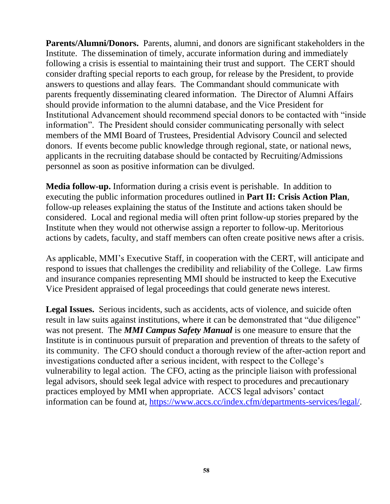**Parents/Alumni/Donors.** Parents, alumni, and donors are significant stakeholders in the Institute. The dissemination of timely, accurate information during and immediately following a crisis is essential to maintaining their trust and support. The CERT should consider drafting special reports to each group, for release by the President, to provide answers to questions and allay fears. The Commandant should communicate with parents frequently disseminating cleared information. The Director of Alumni Affairs should provide information to the alumni database, and the Vice President for Institutional Advancement should recommend special donors to be contacted with "inside information". The President should consider communicating personally with select members of the MMI Board of Trustees, Presidential Advisory Council and selected donors. If events become public knowledge through regional, state, or national news, applicants in the recruiting database should be contacted by Recruiting/Admissions personnel as soon as positive information can be divulged.

**Media follow-up.** Information during a crisis event is perishable. In addition to executing the public information procedures outlined in **Part II: Crisis Action Plan**, follow-up releases explaining the status of the Institute and actions taken should be considered. Local and regional media will often print follow-up stories prepared by the Institute when they would not otherwise assign a reporter to follow-up. Meritorious actions by cadets, faculty, and staff members can often create positive news after a crisis.

As applicable, MMI's Executive Staff, in cooperation with the CERT, will anticipate and respond to issues that challenges the credibility and reliability of the College. Law firms and insurance companies representing MMI should be instructed to keep the Executive Vice President appraised of legal proceedings that could generate news interest.

**Legal Issues.** Serious incidents, such as accidents, acts of violence, and suicide often result in law suits against institutions, where it can be demonstrated that "due diligence" was not present. The *MMI Campus Safety Manual* is one measure to ensure that the Institute is in continuous pursuit of preparation and prevention of threats to the safety of its community. The CFO should conduct a thorough review of the after-action report and investigations conducted after a serious incident, with respect to the College's vulnerability to legal action. The CFO, acting as the principle liaison with professional legal advisors, should seek legal advice with respect to procedures and precautionary practices employed by MMI when appropriate. ACCS legal advisors' contact information can be found at, [https://www.accs.cc/index.cfm/departments-services/legal/.](https://www.accs.cc/index.cfm/departments-services/legal/)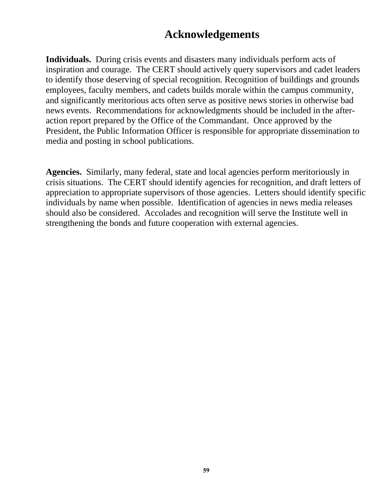## **Acknowledgements**

<span id="page-58-0"></span>**Individuals.** During crisis events and disasters many individuals perform acts of inspiration and courage. The CERT should actively query supervisors and cadet leaders to identify those deserving of special recognition. Recognition of buildings and grounds employees, faculty members, and cadets builds morale within the campus community, and significantly meritorious acts often serve as positive news stories in otherwise bad news events. Recommendations for acknowledgments should be included in the afteraction report prepared by the Office of the Commandant. Once approved by the President, the Public Information Officer is responsible for appropriate dissemination to media and posting in school publications.

**Agencies.** Similarly, many federal, state and local agencies perform meritoriously in crisis situations. The CERT should identify agencies for recognition, and draft letters of appreciation to appropriate supervisors of those agencies. Letters should identify specific individuals by name when possible. Identification of agencies in news media releases should also be considered. Accolades and recognition will serve the Institute well in strengthening the bonds and future cooperation with external agencies.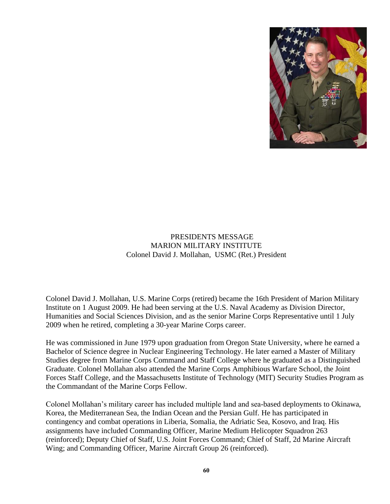

#### PRESIDENTS MESSAGE MARION MILITARY INSTITUTE Colonel David J. Mollahan, USMC (Ret.) President

<span id="page-59-0"></span>Colonel David J. Mollahan, U.S. Marine Corps (retired) became the 16th President of Marion Military Institute on 1 August 2009. He had been serving at the U.S. Naval Academy as Division Director, Humanities and Social Sciences Division, and as the senior Marine Corps Representative until 1 July 2009 when he retired, completing a 30-year Marine Corps career.

He was commissioned in June 1979 upon graduation from Oregon State University, where he earned a Bachelor of Science degree in Nuclear Engineering Technology. He later earned a Master of Military Studies degree from Marine Corps Command and Staff College where he graduated as a Distinguished Graduate. Colonel Mollahan also attended the Marine Corps Amphibious Warfare School, the Joint Forces Staff College, and the Massachusetts Institute of Technology (MIT) Security Studies Program as the Commandant of the Marine Corps Fellow.

Colonel Mollahan's military career has included multiple land and sea-based deployments to Okinawa, Korea, the Mediterranean Sea, the Indian Ocean and the Persian Gulf. He has participated in contingency and combat operations in Liberia, Somalia, the Adriatic Sea, Kosovo, and Iraq. His assignments have included Commanding Officer, Marine Medium Helicopter Squadron 263 (reinforced); Deputy Chief of Staff, U.S. Joint Forces Command; Chief of Staff, 2d Marine Aircraft Wing; and Commanding Officer, Marine Aircraft Group 26 (reinforced).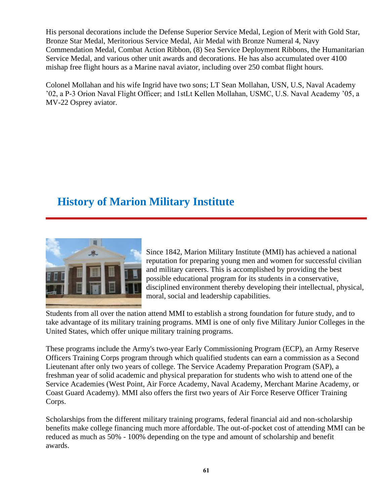His personal decorations include the Defense Superior Service Medal, Legion of Merit with Gold Star, Bronze Star Medal, Meritorious Service Medal, Air Medal with Bronze Numeral 4, Navy Commendation Medal, Combat Action Ribbon, (8) Sea Service Deployment Ribbons, the Humanitarian Service Medal, and various other unit awards and decorations. He has also accumulated over 4100 mishap free flight hours as a Marine naval aviator, including over 250 combat flight hours.

Colonel Mollahan and his wife Ingrid have two sons; LT Sean Mollahan, USN, U.S, Naval Academy '02, a P-3 Orion Naval Flight Officer; and 1stLt Kellen Mollahan, USMC, U.S. Naval Academy '05, a MV-22 Osprey aviator.

## <span id="page-60-0"></span>**History of Marion Military Institute**



Since 1842, Marion Military Institute (MMI) has achieved a national reputation for preparing young men and women for successful civilian and military careers. This is accomplished by providing the best possible educational program for its students in a conservative, disciplined environment thereby developing their intellectual, physical, moral, social and leadership capabilities.

Students from all over the nation attend MMI to establish a strong foundation for future study, and to take advantage of its military training programs. MMI is one of only five Military Junior Colleges in the United States, which offer unique military training programs.

These programs include the Army's two-year Early Commissioning Program (ECP), an Army Reserve Officers Training Corps program through which qualified students can earn a commission as a Second Lieutenant after only two years of college. The Service Academy Preparation Program (SAP), a freshman year of solid academic and physical preparation for students who wish to attend one of the Service Academies (West Point, Air Force Academy, Naval Academy, Merchant Marine Academy, or Coast Guard Academy). MMI also offers the first two years of Air Force Reserve Officer Training Corps.

Scholarships from the different military training programs, federal financial aid and non-scholarship benefits make college financing much more affordable. The out-of-pocket cost of attending MMI can be reduced as much as 50% - 100% depending on the type and amount of scholarship and benefit awards.